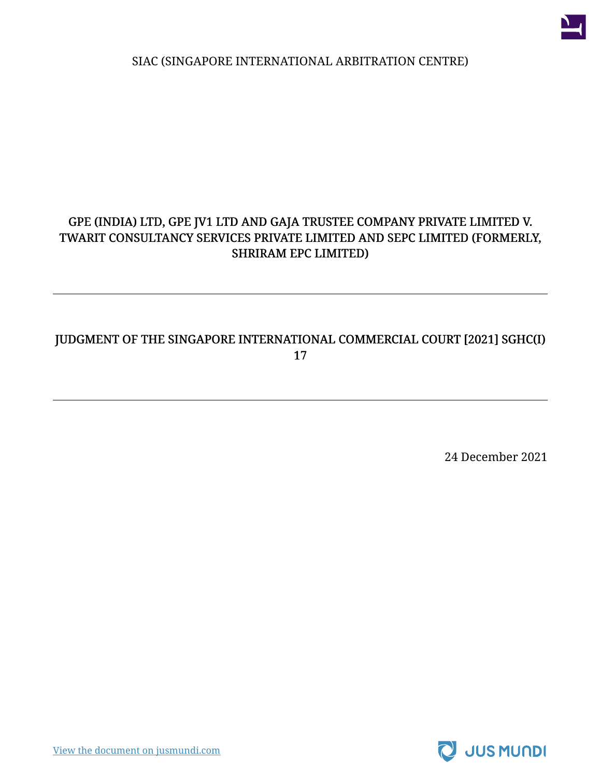

SIAC (SINGAPORE INTERNATIONAL ARBITRATION CENTRE)

#### GPE (INDIA) LTD, GPE JV1 LTD AND GAJA TRUSTEE COMPANY PRIVATE LIMITED V. TWARIT CONSULTANCY SERVICES PRIVATE LIMITED AND SEPC LIMITED (FORMERLY, SHRIRAM EPC LIMITED)

#### JUDGMENT OF THE SINGAPORE INTERNATIONAL COMMERCIAL COURT [2021] SGHC(I) 17

24 December 2021



[View the document on jusmundi.com](https://jusmundi.com/en/document/decision/en-gpe-india-ltd-gpe-jv1-ltd-and-gaja-trustee-company-private-limited-v-twarit-consultancy-services-private-limited-and-sepc-limited-formerly-shriram-epc-limited-judgment-of-the-singapore-international-commercial-court-2021-sghc-i-17-friday-24th-december-2021)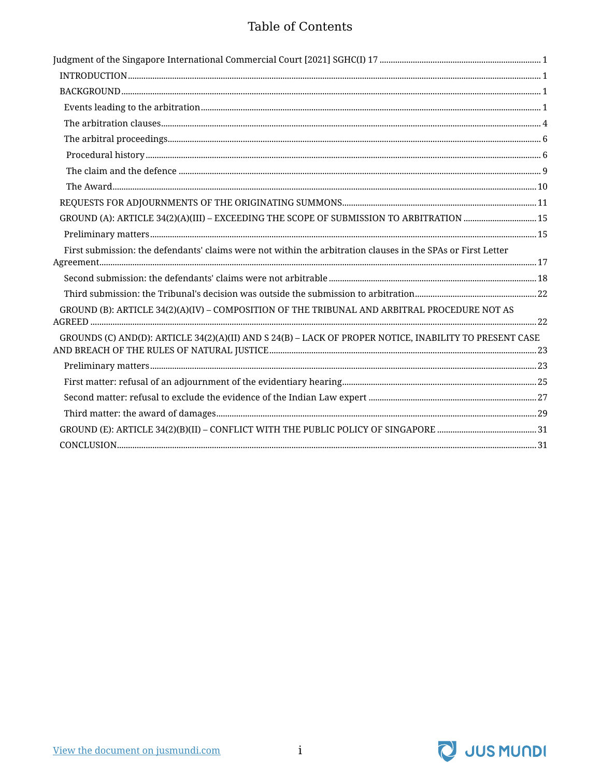#### Table of Contents

| GROUND (A): ARTICLE 34(2)(A)(III) - EXCEEDING THE SCOPE OF SUBMISSION TO ARBITRATION 15                      |  |
|--------------------------------------------------------------------------------------------------------------|--|
|                                                                                                              |  |
| First submission: the defendants' claims were not within the arbitration clauses in the SPAs or First Letter |  |
|                                                                                                              |  |
|                                                                                                              |  |
| GROUND (B): ARTICLE 34(2)(A)(IV) - COMPOSITION OF THE TRIBUNAL AND ARBITRAL PROCEDURE NOT AS                 |  |
| GROUNDS (C) AND(D): ARTICLE 34(2)(A)(II) AND S 24(B) - LACK OF PROPER NOTICE, INABILITY TO PRESENT CASE      |  |
|                                                                                                              |  |
|                                                                                                              |  |
|                                                                                                              |  |
|                                                                                                              |  |
|                                                                                                              |  |
|                                                                                                              |  |
|                                                                                                              |  |

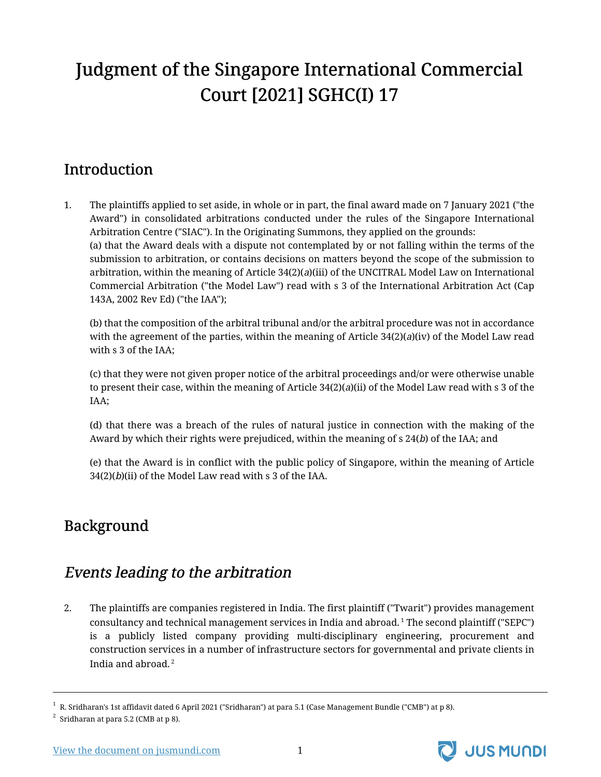# <span id="page-2-0"></span>Judgment of the Singapore International Commercial Court [2021] SGHC(I) 17

# <span id="page-2-1"></span>Introduction

1. The plaintiffs applied to set aside, in whole or in part, the final award made on 7 January 2021 ("the Award") in consolidated arbitrations conducted under the rules of the Singapore International Arbitration Centre ("SIAC"). In the Originating Summons, they applied on the grounds: (a) that the Award deals with a dispute not contemplated by or not falling within the terms of the submission to arbitration, or contains decisions on matters beyond the scope of the submission to arbitration, within the meaning of Article 34(2)(a)(iii) of the UNCITRAL Model Law on International Commercial Arbitration ("the Model Law") read with s 3 of the International Arbitration Act (Cap 143A, 2002 Rev Ed) ("the IAA");

(b) that the composition of the arbitral tribunal and/or the arbitral procedure was not in accordance with the agreement of the parties, within the meaning of Article  $34(2)(a)(iv)$  of the Model Law read with s 3 of the IAA;

(c) that they were not given proper notice of the arbitral proceedings and/or were otherwise unable to present their case, within the meaning of Article  $34(2)(a)(ii)$  of the Model Law read with s 3 of the IAA;

(d) that there was a breach of the rules of natural justice in connection with the making of the Award by which their rights were prejudiced, within the meaning of  $s$  24(b) of the IAA; and

(e) that the Award is in conflict with the public policy of Singapore, within the meaning of Article  $34(2)(b)(ii)$  of the Model Law read with s 3 of the IAA.

# <span id="page-2-2"></span>Background

# <span id="page-2-3"></span>Events leading to the arbitration

2. The plaintiffs are companies registered in India. The first plaintiff ("Twarit") provides management consultancy and technical management services in India and abroad. <sup>1</sup> The second plaintiff ("SEPC") is a publicly listed company providing multi-disciplinary engineering, procurement and construction services in a number of infrastructure sectors for governmental and private clients in India and abroad. <sup>2</sup>



 $^1\,$  R. Sridharan's 1st affidavit dated 6 April 2021 ("Sridharan") at para 5.1 (Case Management Bundle ("CMB") at p 8).

 $^2$  Sridharan at para 5.2 (CMB at p 8).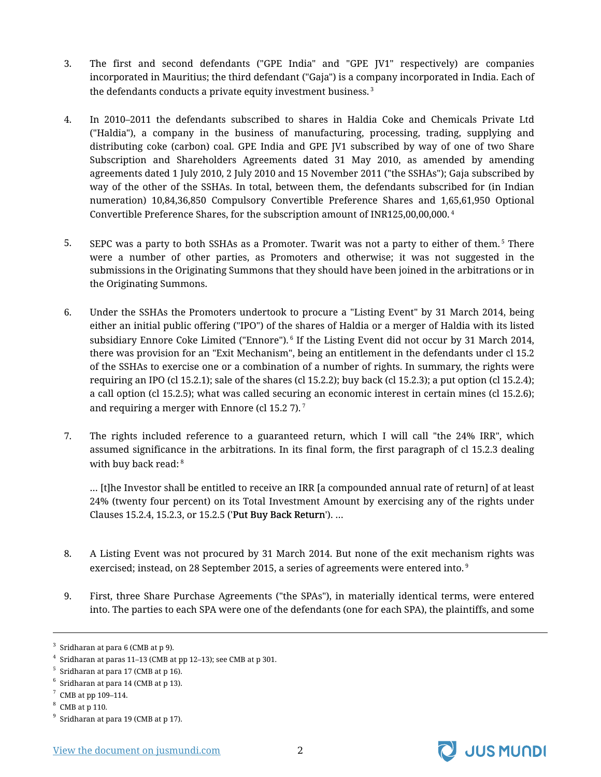- 3. The first and second defendants ("GPE India" and "GPE JV1" respectively) are companies incorporated in Mauritius; the third defendant ("Gaja") is a company incorporated in India. Each of the defendants conducts a private equity investment business.<sup>3</sup>
- 4. In 2010–2011 the defendants subscribed to shares in Haldia Coke and Chemicals Private Ltd ("Haldia"), a company in the business of manufacturing, processing, trading, supplying and distributing coke (carbon) coal. GPE India and GPE JV1 subscribed by way of one of two Share Subscription and Shareholders Agreements dated 31 May 2010, as amended by amending agreements dated 1 July 2010, 2 July 2010 and 15 November 2011 ("the SSHAs"); Gaja subscribed by way of the other of the SSHAs. In total, between them, the defendants subscribed for (in Indian numeration) 10,84,36,850 Compulsory Convertible Preference Shares and 1,65,61,950 Optional Convertible Preference Shares, for the subscription amount of INR125,00,00,000. <sup>4</sup>
- 5. SEPC was a party to both SSHAs as a Promoter. Twarit was not a party to either of them.<sup>5</sup> There were a number of other parties, as Promoters and otherwise; it was not suggested in the submissions in the Originating Summons that they should have been joined in the arbitrations or in the Originating Summons.
- 6. Under the SSHAs the Promoters undertook to procure a "Listing Event" by 31 March 2014, being either an initial public offering ("IPO") of the shares of Haldia or a merger of Haldia with its listed subsidiary Ennore Coke Limited ("Ennore"). <sup>6</sup> If the Listing Event did not occur by 31 March 2014, there was provision for an "Exit Mechanism", being an entitlement in the defendants under cl 15.2 of the SSHAs to exercise one or a combination of a number of rights. In summary, the rights were requiring an IPO (cl 15.2.1); sale of the shares (cl 15.2.2); buy back (cl 15.2.3); a put option (cl 15.2.4); a call option (cl 15.2.5); what was called securing an economic interest in certain mines (cl 15.2.6); and requiring a merger with Ennore (cl  $15.2$  7).<sup>7</sup>
- 7. The rights included reference to a guaranteed return, which I will call "the 24% IRR", which assumed significance in the arbitrations. In its final form, the first paragraph of cl 15.2.3 dealing with buy back read: 8

… [t]he Investor shall be entitled to receive an IRR [a compounded annual rate of return] of at least 24% (twenty four percent) on its Total Investment Amount by exercising any of the rights under Clauses 15.2.4, 15.2.3, or 15.2.5 ('Put Buy Back Return'). …

- 8. A Listing Event was not procured by 31 March 2014. But none of the exit mechanism rights was exercised; instead, on 28 September 2015, a series of agreements were entered into.<sup>9</sup>
- 9. First, three Share Purchase Agreements ("the SPAs"), in materially identical terms, were entered into. The parties to each SPA were one of the defendants (one for each SPA), the plaintiffs, and some



 $3$  Sridharan at para 6 (CMB at p 9).

 $^4\,$  Sridharan at paras 11–13 (CMB at pp 12–13); see CMB at p 301.

 $^5\,$  Sridharan at para 17 (CMB at p 16).

 $^6$  Sridharan at para 14 (CMB at p 13).

 $7$  CMB at pp 109-114.

 $8$  CMB at p 110.

 $^9$  Sridharan at para 19 (CMB at p 17).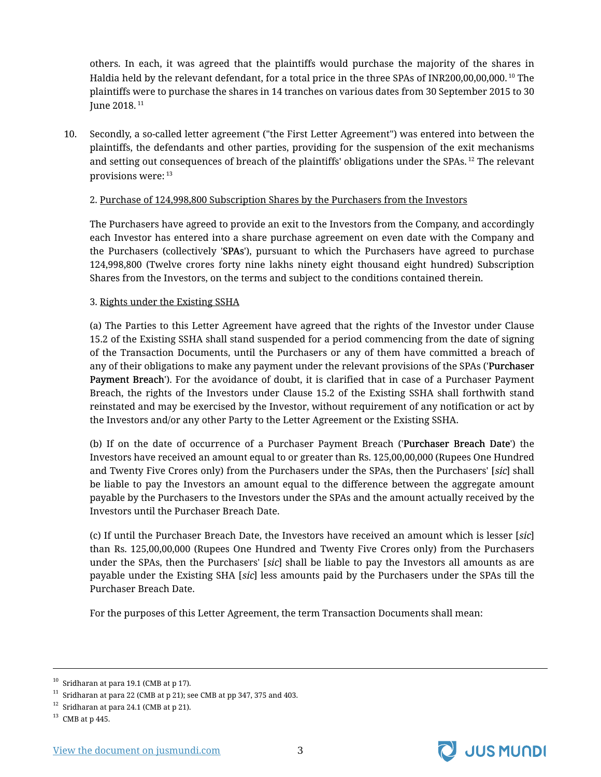others. In each, it was agreed that the plaintiffs would purchase the majority of the shares in Haldia held by the relevant defendant, for a total price in the three SPAs of INR200,00,00,000. <sup>10</sup> The plaintiffs were to purchase the shares in 14 tranches on various dates from 30 September 2015 to 30 June 2018. <sup>11</sup>

10. Secondly, a so-called letter agreement ("the First Letter Agreement") was entered into between the plaintiffs, the defendants and other parties, providing for the suspension of the exit mechanisms and setting out consequences of breach of the plaintiffs' obligations under the SPAs.<sup>12</sup> The relevant provisions were: <sup>13</sup>

#### 2. Purchase of 124,998,800 Subscription Shares by the Purchasers from the Investors

The Purchasers have agreed to provide an exit to the Investors from the Company, and accordingly each Investor has entered into a share purchase agreement on even date with the Company and the Purchasers (collectively 'SPAs'), pursuant to which the Purchasers have agreed to purchase 124,998,800 (Twelve crores forty nine lakhs ninety eight thousand eight hundred) Subscription Shares from the Investors, on the terms and subject to the conditions contained therein.

#### 3. Rights under the Existing SSHA

(a) The Parties to this Letter Agreement have agreed that the rights of the Investor under Clause 15.2 of the Existing SSHA shall stand suspended for a period commencing from the date of signing of the Transaction Documents, until the Purchasers or any of them have committed a breach of any of their obligations to make any payment under the relevant provisions of the SPAs ('Purchaser Payment Breach'). For the avoidance of doubt, it is clarified that in case of a Purchaser Payment Breach, the rights of the Investors under Clause 15.2 of the Existing SSHA shall forthwith stand reinstated and may be exercised by the Investor, without requirement of any notification or act by the Investors and/or any other Party to the Letter Agreement or the Existing SSHA.

(b) If on the date of occurrence of a Purchaser Payment Breach ('Purchaser Breach Date') the Investors have received an amount equal to or greater than Rs. 125,00,00,000 (Rupees One Hundred and Twenty Five Crores only) from the Purchasers under the SPAs, then the Purchasers' [sic] shall be liable to pay the Investors an amount equal to the difference between the aggregate amount payable by the Purchasers to the Investors under the SPAs and the amount actually received by the Investors until the Purchaser Breach Date.

(c) If until the Purchaser Breach Date, the Investors have received an amount which is lesser [sic] than Rs. 125,00,00,000 (Rupees One Hundred and Twenty Five Crores only) from the Purchasers under the SPAs, then the Purchasers' [sic] shall be liable to pay the Investors all amounts as are payable under the Existing SHA [sic] less amounts paid by the Purchasers under the SPAs till the Purchaser Breach Date.

For the purposes of this Letter Agreement, the term Transaction Documents shall mean:



 $10$  Sridharan at para 19.1 (CMB at p 17).

 $^{11}\,$  Sridharan at para 22 (CMB at p 21); see CMB at pp 347, 375 and 403.

 $12$  Sridharan at para 24.1 (CMB at p 21).

 $^{13}\,$  CMB at p 445.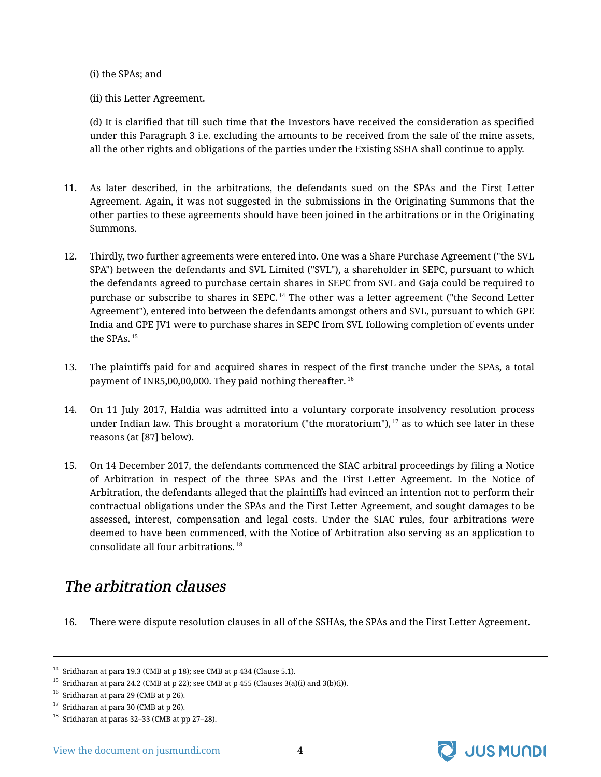#### (i) the SPAs; and

(ii) this Letter Agreement.

(d) It is clarified that till such time that the Investors have received the consideration as specified under this Paragraph 3 i.e. excluding the amounts to be received from the sale of the mine assets, all the other rights and obligations of the parties under the Existing SSHA shall continue to apply.

- 11. As later described, in the arbitrations, the defendants sued on the SPAs and the First Letter Agreement. Again, it was not suggested in the submissions in the Originating Summons that the other parties to these agreements should have been joined in the arbitrations or in the Originating Summons.
- 12. Thirdly, two further agreements were entered into. One was a Share Purchase Agreement ("the SVL SPA") between the defendants and SVL Limited ("SVL"), a shareholder in SEPC, pursuant to which the defendants agreed to purchase certain shares in SEPC from SVL and Gaja could be required to purchase or subscribe to shares in SEPC.<sup>14</sup> The other was a letter agreement ("the Second Letter Agreement"), entered into between the defendants amongst others and SVL, pursuant to which GPE India and GPE JV1 were to purchase shares in SEPC from SVL following completion of events under the SPAs. <sup>15</sup>
- 13. The plaintiffs paid for and acquired shares in respect of the first tranche under the SPAs, a total payment of INR5,00,00,000. They paid nothing thereafter. <sup>16</sup>
- 14. On 11 July 2017, Haldia was admitted into a voluntary corporate insolvency resolution process under Indian law. This brought a moratorium ("the moratorium"), $17$  as to which see later in these reasons (at [87] below).
- 15. On 14 December 2017, the defendants commenced the SIAC arbitral proceedings by filing a Notice of Arbitration in respect of the three SPAs and the First Letter Agreement. In the Notice of Arbitration, the defendants alleged that the plaintiffs had evinced an intention not to perform their contractual obligations under the SPAs and the First Letter Agreement, and sought damages to be assessed, interest, compensation and legal costs. Under the SIAC rules, four arbitrations were deemed to have been commenced, with the Notice of Arbitration also serving as an application to consolidate all four arbitrations. <sup>18</sup>

### <span id="page-5-0"></span>The arbitration clauses

16. There were dispute resolution clauses in all of the SSHAs, the SPAs and the First Letter Agreement.



<sup>&</sup>lt;sup>14</sup> Sridharan at para 19.3 (CMB at p 18); see CMB at p 434 (Clause 5.1).

<sup>&</sup>lt;sup>15</sup> Sridharan at para 24.2 (CMB at p 22); see CMB at p 455 (Clauses 3(a)(i) and 3(b)(i)).

 $16$  Sridharan at para 29 (CMB at p 26).

 $17$  Sridharan at para 30 (CMB at p 26).

<sup>18</sup> Sridharan at paras 32–33 (CMB at pp 27–28).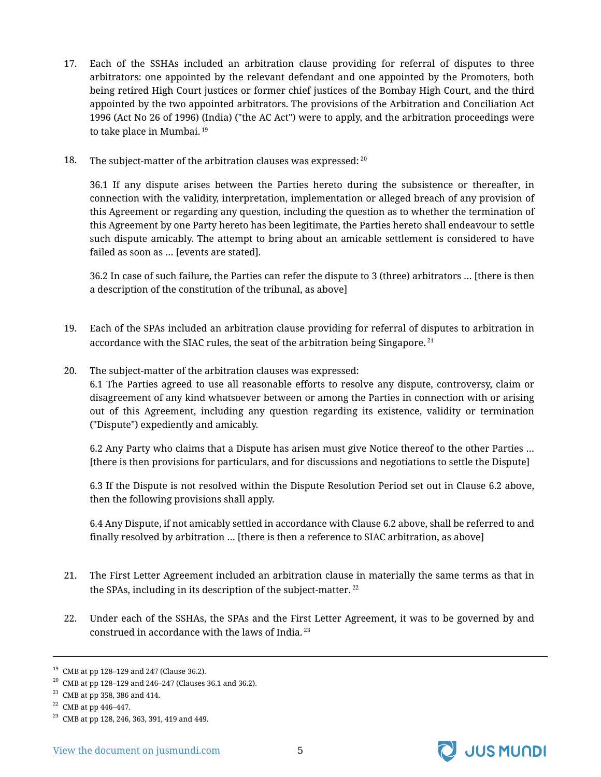- 17. Each of the SSHAs included an arbitration clause providing for referral of disputes to three arbitrators: one appointed by the relevant defendant and one appointed by the Promoters, both being retired High Court justices or former chief justices of the Bombay High Court, and the third appointed by the two appointed arbitrators. The provisions of the Arbitration and Conciliation Act 1996 (Act No 26 of 1996) (India) ("the AC Act") were to apply, and the arbitration proceedings were to take place in Mumbai.<sup>19</sup>
- 18. The subject-matter of the arbitration clauses was expressed: 20

36.1 If any dispute arises between the Parties hereto during the subsistence or thereafter, in connection with the validity, interpretation, implementation or alleged breach of any provision of this Agreement or regarding any question, including the question as to whether the termination of this Agreement by one Party hereto has been legitimate, the Parties hereto shall endeavour to settle such dispute amicably. The attempt to bring about an amicable settlement is considered to have failed as soon as … [events are stated].

36.2 In case of such failure, the Parties can refer the dispute to 3 (three) arbitrators … [there is then a description of the constitution of the tribunal, as above]

- 19. Each of the SPAs included an arbitration clause providing for referral of disputes to arbitration in accordance with the SIAC rules, the seat of the arbitration being Singapore.  $^{21}$
- 20. The subject-matter of the arbitration clauses was expressed:

6.1 The Parties agreed to use all reasonable efforts to resolve any dispute, controversy, claim or disagreement of any kind whatsoever between or among the Parties in connection with or arising out of this Agreement, including any question regarding its existence, validity or termination ("Dispute") expediently and amicably.

6.2 Any Party who claims that a Dispute has arisen must give Notice thereof to the other Parties … [there is then provisions for particulars, and for discussions and negotiations to settle the Dispute]

6.3 If the Dispute is not resolved within the Dispute Resolution Period set out in Clause 6.2 above, then the following provisions shall apply.

6.4 Any Dispute, if not amicably settled in accordance with Clause 6.2 above, shall be referred to and finally resolved by arbitration … [there is then a reference to SIAC arbitration, as above]

- 21. The First Letter Agreement included an arbitration clause in materially the same terms as that in the SPAs, including in its description of the subject-matter.  $22$
- 22. Under each of the SSHAs, the SPAs and the First Letter Agreement, it was to be governed by and construed in accordance with the laws of India. <sup>23</sup>



<sup>&</sup>lt;sup>19</sup> CMB at pp 128–129 and 247 (Clause 36.2).

 $20$  CMB at pp 128–129 and 246–247 (Clauses 36.1 and 36.2).

 $21$  CMB at pp 358, 386 and 414.

<sup>22</sup> CMB at pp 446–447.

<sup>23</sup> CMB at pp 128, 246, 363, 391, 419 and 449.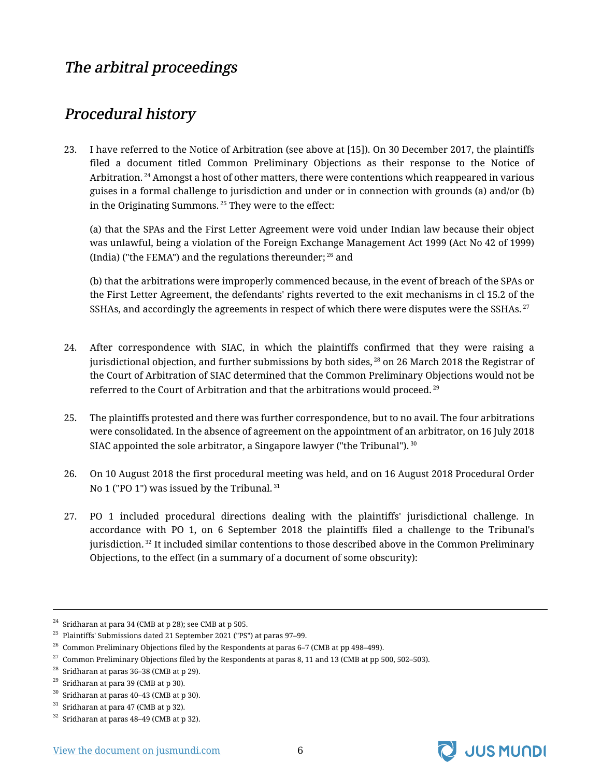# <span id="page-7-0"></span>The arbitral proceedings

### <span id="page-7-1"></span>Procedural history

23. I have referred to the Notice of Arbitration (see above at [15]). On 30 December 2017, the plaintiffs filed a document titled Common Preliminary Objections as their response to the Notice of Arbitration.<sup>24</sup> Amongst a host of other matters, there were contentions which reappeared in various guises in a formal challenge to jurisdiction and under or in connection with grounds (a) and/or (b) in the Originating Summons.<sup>25</sup> They were to the effect:

(a) that the SPAs and the First Letter Agreement were void under Indian law because their object was unlawful, being a violation of the Foreign Exchange Management Act 1999 (Act No 42 of 1999) (India) ("the FEMA") and the regulations thereunder;  $26$  and

(b) that the arbitrations were improperly commenced because, in the event of breach of the SPAs or the First Letter Agreement, the defendants' rights reverted to the exit mechanisms in cl 15.2 of the SSHAs, and accordingly the agreements in respect of which there were disputes were the SSHAs.  $27$ 

- 24. After correspondence with SIAC, in which the plaintiffs confirmed that they were raising a jurisdictional objection, and further submissions by both sides, <sup>28</sup> on 26 March 2018 the Registrar of the Court of Arbitration of SIAC determined that the Common Preliminary Objections would not be referred to the Court of Arbitration and that the arbitrations would proceed.<sup>29</sup>
- 25. The plaintiffs protested and there was further correspondence, but to no avail. The four arbitrations were consolidated. In the absence of agreement on the appointment of an arbitrator, on 16 July 2018 SIAC appointed the sole arbitrator, a Singapore lawyer ("the Tribunal").  $30$
- 26. On 10 August 2018 the first procedural meeting was held, and on 16 August 2018 Procedural Order No 1 ("PO 1") was issued by the Tribunal.<sup>31</sup>
- 27. PO 1 included procedural directions dealing with the plaintiffs' jurisdictional challenge. In accordance with PO 1, on 6 September 2018 the plaintiffs filed a challenge to the Tribunal's jurisdiction. <sup>32</sup> It included similar contentions to those described above in the Common Preliminary Objections, to the effect (in a summary of a document of some obscurity):



 $^{24}$  Sridharan at para 34 (CMB at p 28); see CMB at p 505.

<sup>25</sup> Plaintiffs' Submissions dated 21 September 2021 ("PS") at paras 97–99.

 $26$  Common Preliminary Objections filed by the Respondents at paras 6–7 (CMB at pp 498–499).

 $27$  Common Preliminary Objections filed by the Respondents at paras 8, 11 and 13 (CMB at pp 500, 502–503).

 $28$  Sridharan at paras 36–38 (CMB at p 29).

 $29$  Sridharan at para 39 (CMB at p 30).

 $30$  Sridharan at paras 40–43 (CMB at p 30).

 $31$  Sridharan at para 47 (CMB at p 32).

 $32$  Sridharan at paras 48–49 (CMB at p 32).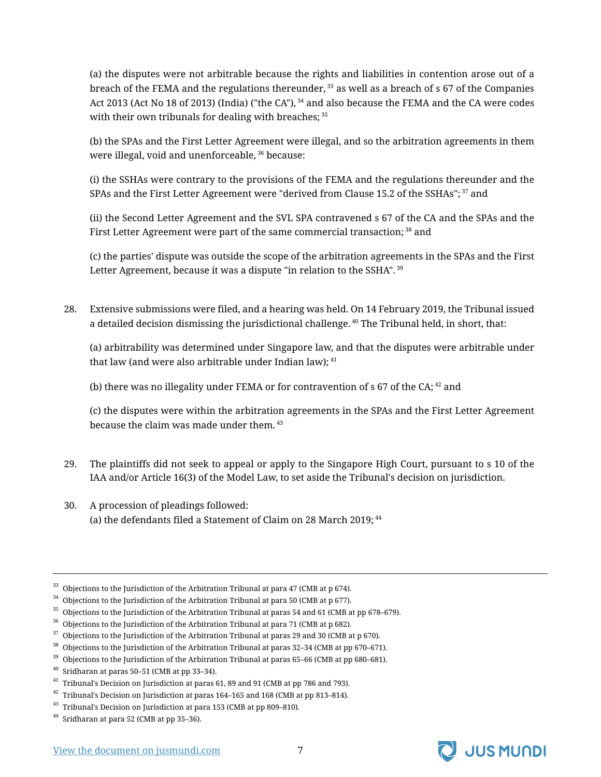(a) the disputes were not arbitrable because the rights and liabilities in contention arose out of a breach of the FEMA and the regulations thereunder,  $33$  as well as a breach of s 67 of the Companies Act 2013 (Act No 18 of 2013) (India) ("the CA"), <sup>34</sup> and also because the FEMA and the CA were codes with their own tribunals for dealing with breaches;  $35$ 

(b) the SPAs and the First Letter Agreement were illegal, and so the arbitration agreements in them were illegal, void and unenforceable, <sup>36</sup> because:

(i) the SSHAs were contrary to the provisions of the FEMA and the regulations thereunder and the SPAs and the First Letter Agreement were "derived from Clause 15.2 of the SSHAs"; <sup>37</sup> and

(ii) the Second Letter Agreement and the SVL SPA contravened s 67 of the CA and the SPAs and the First Letter Agreement were part of the same commercial transaction;<sup>38</sup> and

(c) the parties' dispute was outside the scope of the arbitration agreements in the SPAs and the First Letter Agreement, because it was a dispute "in relation to the SSHA". 39

28. Extensive submissions were filed, and a hearing was held. On 14 February 2019, the Tribunal issued a detailed decision dismissing the jurisdictional challenge.<sup>40</sup> The Tribunal held, in short, that:

(a) arbitrability was determined under Singapore law, and that the disputes were arbitrable under that law (and were also arbitrable under Indian law); <sup>41</sup>

(b) there was no illegality under FEMA or for contravention of  $\frac{1}{2}$  of the CA; <sup>42</sup> and

(c) the disputes were within the arbitration agreements in the SPAs and the First Letter Agreement because the claim was made under them.  $43$ 

- 29. The plaintiffs did not seek to appeal or apply to the Singapore High Court, pursuant to s 10 of the IAA and/or Article 16(3) of the Model Law, to set aside the Tribunal's decision on jurisdiction.
- 30. A procession of pleadings followed: (a) the defendants filed a Statement of Claim on 28 March 2019;  $44$



 $33$  Objections to the Jurisdiction of the Arbitration Tribunal at para 47 (CMB at p 674).

 $^{34}\,$  Objections to the Jurisdiction of the Arbitration Tribunal at para 50 (CMB at p 677).

 $^{\rm 35}$  Objections to the Jurisdiction of the Arbitration Tribunal at paras 54 and 61 (CMB at pp 678–679).

 $36$  Objections to the Jurisdiction of the Arbitration Tribunal at para 71 (CMB at p 682).

 $37$  Objections to the Jurisdiction of the Arbitration Tribunal at paras 29 and 30 (CMB at p 670).

<sup>38</sup> Objections to the Jurisdiction of the Arbitration Tribunal at paras 32–34 (CMB at pp 670–671).

<sup>&</sup>lt;sup>39</sup> Objections to the Jurisdiction of the Arbitration Tribunal at paras 65-66 (CMB at pp 680-681).

 $40$  Sridharan at paras 50–51 (CMB at pp 33–34).

 $41$  Tribunal's Decision on Jurisdiction at paras 61, 89 and 91 (CMB at pp 786 and 793).

 $^{42}\,$  Tribunal's Decision on Jurisdiction at paras 164–165 and 168 (CMB at pp 813–814).

<sup>&</sup>lt;sup>43</sup> Tribunal's Decision on Jurisdiction at para 153 (CMB at pp 809–810).

<sup>44</sup> Sridharan at para 52 (CMB at pp 35–36).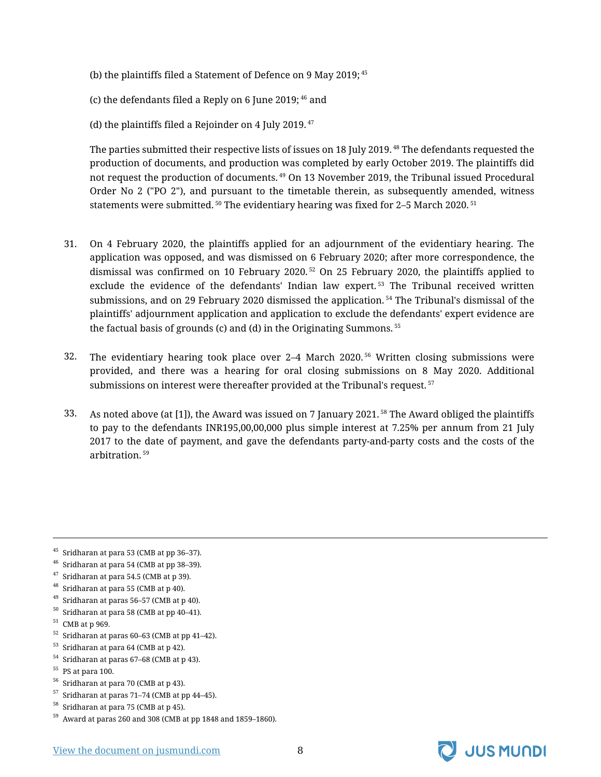- (b) the plaintiffs filed a Statement of Defence on 9 May 2019; <sup>45</sup>
- (c) the defendants filed a Reply on 6 June 2019;  $46$  and
- (d) the plaintiffs filed a Rejoinder on 4 July 2019. $47$

The parties submitted their respective lists of issues on 18 July 2019.<sup>48</sup> The defendants requested the production of documents, and production was completed by early October 2019. The plaintiffs did not request the production of documents.<sup>49</sup> On 13 November 2019, the Tribunal issued Procedural Order No 2 ("PO 2"), and pursuant to the timetable therein, as subsequently amended, witness statements were submitted.<sup>50</sup> The evidentiary hearing was fixed for 2–5 March 2020.<sup>51</sup>

- 31. On 4 February 2020, the plaintiffs applied for an adjournment of the evidentiary hearing. The application was opposed, and was dismissed on 6 February 2020; after more correspondence, the dismissal was confirmed on 10 February 2020.<sup>52</sup> On 25 February 2020, the plaintiffs applied to exclude the evidence of the defendants' Indian law expert.<sup>53</sup> The Tribunal received written submissions, and on 29 February 2020 dismissed the application.<sup>54</sup> The Tribunal's dismissal of the plaintiffs' adjournment application and application to exclude the defendants' expert evidence are the factual basis of grounds (c) and (d) in the Originating Summons. <sup>55</sup>
- 32. The evidentiary hearing took place over 2–4 March 2020. <sup>56</sup> Written closing submissions were provided, and there was a hearing for oral closing submissions on 8 May 2020. Additional submissions on interest were thereafter provided at the Tribunal's request.  $57$
- 33. As noted above (at [1]), the Award was issued on 7 January 2021.<sup>58</sup> The Award obliged the plaintiffs to pay to the defendants INR195,00,00,000 plus simple interest at 7.25% per annum from 21 July 2017 to the date of payment, and gave the defendants party-and-party costs and the costs of the arbitration. <sup>59</sup>

- $50$  Sridharan at para 58 (CMB at pp 40–41).
- $51$  CMB at p 969.
- $52$  Sridharan at paras 60–63 (CMB at pp 41–42).
- $53$  Sridharan at para 64 (CMB at p 42).
- $54$  Sridharan at paras 67–68 (CMB at p 43).
- $55$  PS at para 100.
- $56$  Sridharan at para 70 (CMB at p 43).
- $57$  Sridharan at paras 71–74 (CMB at pp 44–45).



 $45$  Sridharan at para 53 (CMB at pp 36–37).

 $46$  Sridharan at para 54 (CMB at pp 38–39).

 $47$  Sridharan at para 54.5 (CMB at p 39).

 $48$  Sridharan at para 55 (CMB at p 40).

 $^{49}\,$  Sridharan at paras 56–57 (CMB at p 40).

 $58$  Sridharan at para 75 (CMB at p 45).

<sup>59</sup> Award at paras 260 and 308 (CMB at pp 1848 and 1859–1860).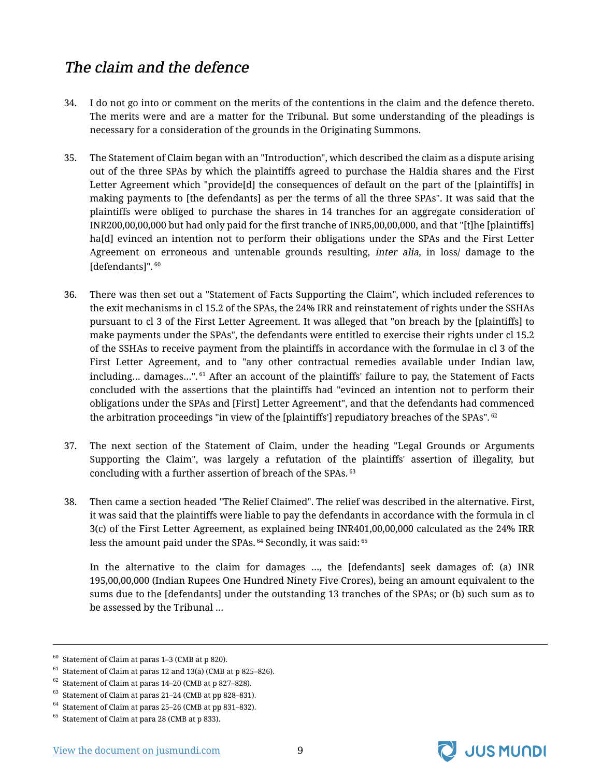# <span id="page-10-0"></span>The claim and the defence

- 34. I do not go into or comment on the merits of the contentions in the claim and the defence thereto. The merits were and are a matter for the Tribunal. But some understanding of the pleadings is necessary for a consideration of the grounds in the Originating Summons.
- 35. The Statement of Claim began with an "Introduction", which described the claim as a dispute arising out of the three SPAs by which the plaintiffs agreed to purchase the Haldia shares and the First Letter Agreement which "provide[d] the consequences of default on the part of the [plaintiffs] in making payments to [the defendants] as per the terms of all the three SPAs". It was said that the plaintiffs were obliged to purchase the shares in 14 tranches for an aggregate consideration of INR200,00,00,000 but had only paid for the first tranche of INR5,00,00,000, and that "[t]he [plaintiffs] ha[d] evinced an intention not to perform their obligations under the SPAs and the First Letter Agreement on erroneous and untenable grounds resulting, *inter alia*, in loss/ damage to the [defendants]". <sup>60</sup>
- 36. There was then set out a "Statement of Facts Supporting the Claim", which included references to the exit mechanisms in cl 15.2 of the SPAs, the 24% IRR and reinstatement of rights under the SSHAs pursuant to cl 3 of the First Letter Agreement. It was alleged that "on breach by the [plaintiffs] to make payments under the SPAs", the defendants were entitled to exercise their rights under cl 15.2 of the SSHAs to receive payment from the plaintiffs in accordance with the formulae in cl 3 of the First Letter Agreement, and to "any other contractual remedies available under Indian law, including... damages...".<sup>61</sup> After an account of the plaintiffs' failure to pay, the Statement of Facts concluded with the assertions that the plaintiffs had "evinced an intention not to perform their obligations under the SPAs and [First] Letter Agreement", and that the defendants had commenced the arbitration proceedings "in view of the [plaintiffs'] repudiatory breaches of the SPAs". <sup>62</sup>
- 37. The next section of the Statement of Claim, under the heading "Legal Grounds or Arguments Supporting the Claim", was largely a refutation of the plaintiffs' assertion of illegality, but concluding with a further assertion of breach of the SPAs. <sup>63</sup>
- 38. Then came a section headed "The Relief Claimed". The relief was described in the alternative. First, it was said that the plaintiffs were liable to pay the defendants in accordance with the formula in cl 3(c) of the First Letter Agreement, as explained being INR401,00,00,000 calculated as the 24% IRR less the amount paid under the SPAs. <sup>64</sup> Secondly, it was said: 65

In the alternative to the claim for damages …, the [defendants] seek damages of: (a) INR 195,00,00,000 (Indian Rupees One Hundred Ninety Five Crores), being an amount equivalent to the sums due to the [defendants] under the outstanding 13 tranches of the SPAs; or (b) such sum as to be assessed by the Tribunal …



 $60$  Statement of Claim at paras 1–3 (CMB at p 820).

 $61$  Statement of Claim at paras 12 and 13(a) (CMB at p 825–826).

 $62$  Statement of Claim at paras 14–20 (CMB at p 827–828).

<sup>63</sup> Statement of Claim at paras 21–24 (CMB at pp 828–831).

<sup>64</sup> Statement of Claim at paras 25–26 (CMB at pp 831–832).

<sup>65</sup> Statement of Claim at para 28 (CMB at p 833).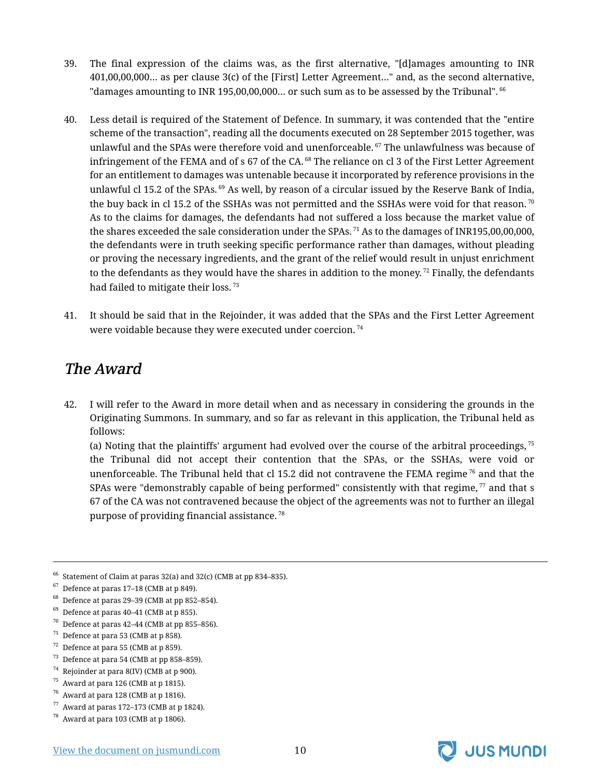- 39. The final expression of the claims was, as the first alternative, "[d]amages amounting to INR 401,00,00,000… as per clause 3(c) of the [First] Letter Agreement…" and, as the second alternative, "damages amounting to INR 195,00,00,000... or such sum as to be assessed by the Tribunal". <sup>66</sup>
- 40. Less detail is required of the Statement of Defence. In summary, it was contended that the "entire scheme of the transaction", reading all the documents executed on 28 September 2015 together, was unlawful and the SPAs were therefore void and unenforceable. <sup>67</sup> The unlawfulness was because of infringement of the FEMA and of s 67 of the CA.<sup>68</sup> The reliance on cl 3 of the First Letter Agreement for an entitlement to damages was untenable because it incorporated by reference provisions in the unlawful cl 15.2 of the SPAs. <sup>69</sup> As well, by reason of a circular issued by the Reserve Bank of India, the buy back in cl 15.2 of the SSHAs was not permitted and the SSHAs were void for that reason.<sup>70</sup> As to the claims for damages, the defendants had not suffered a loss because the market value of the shares exceeded the sale consideration under the SPAs.  $71$  As to the damages of INR195,00,00,000, the defendants were in truth seeking specific performance rather than damages, without pleading or proving the necessary ingredients, and the grant of the relief would result in unjust enrichment to the defendants as they would have the shares in addition to the money.  $^{72}$  Finally, the defendants had failed to mitigate their loss.<sup>73</sup>
- 41. It should be said that in the Rejoinder, it was added that the SPAs and the First Letter Agreement were voidable because they were executed under coercion. <sup>74</sup>

### <span id="page-11-0"></span>The Award

42. I will refer to the Award in more detail when and as necessary in considering the grounds in the Originating Summons. In summary, and so far as relevant in this application, the Tribunal held as follows:

(a) Noting that the plaintiffs' argument had evolved over the course of the arbitral proceedings,  $75$ the Tribunal did not accept their contention that the SPAs, or the SSHAs, were void or unenforceable. The Tribunal held that cl 15.2 did not contravene the FEMA regime  $76$  and that the SPAs were "demonstrably capable of being performed" consistently with that regime,  $\frac{77}{2}$  and that s 67 of the CA was not contravened because the object of the agreements was not to further an illegal purpose of providing financial assistance. <sup>78</sup>

- $\frac{70}{10}$  Defence at paras 42–44 (CMB at pp 855–856).
- $71$  Defence at para 53 (CMB at p 858).
- $72$  Defence at para 55 (CMB at p 859).
- $73$  Defence at para 54 (CMB at pp 858-859).
- $74$  Rejoinder at para 8(IV) (CMB at p 900).
- $75$  Award at para 126 (CMB at p 1815).
- $76$  Award at para 128 (CMB at p 1816).
- Award at paras 172–173 (CMB at p 1824).



 $66$  Statement of Claim at paras 32(a) and 32(c) (CMB at pp 834–835).

 $67$  Defence at paras 17–18 (CMB at p 849).

 $68$  Defence at paras 29-39 (CMB at pp 852-854).

 $69$  Defence at paras 40–41 (CMB at p 855).

 $^{78}\,$  Award at para 103 (CMB at p 1806).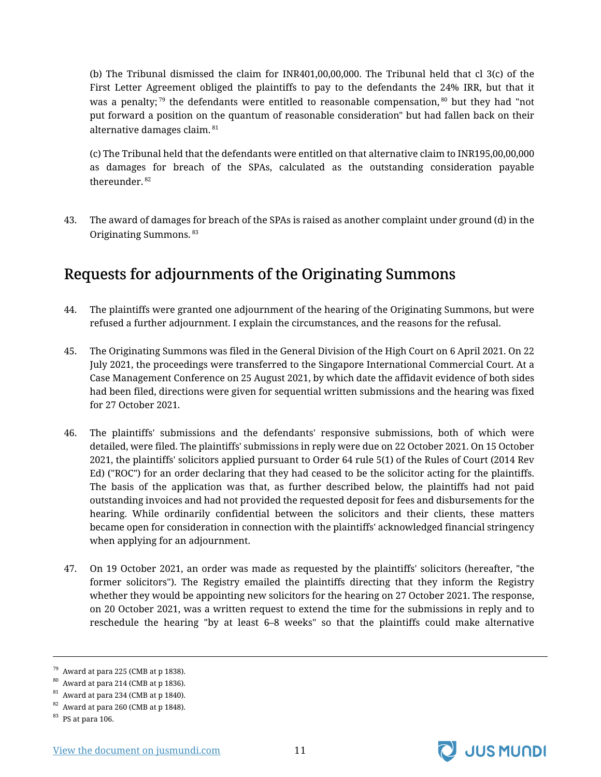(b) The Tribunal dismissed the claim for INR401,00,00,000. The Tribunal held that cl 3(c) of the First Letter Agreement obliged the plaintiffs to pay to the defendants the 24% IRR, but that it was a penalty;<sup>79</sup> the defendants were entitled to reasonable compensation,  $80$  but they had "not put forward a position on the quantum of reasonable consideration" but had fallen back on their alternative damages claim. <sup>81</sup>

(c) The Tribunal held that the defendants were entitled on that alternative claim to INR195,00,00,000 as damages for breach of the SPAs, calculated as the outstanding consideration payable thereunder. <sup>82</sup>

43. The award of damages for breach of the SPAs is raised as another complaint under ground (d) in the Originating Summons. <sup>83</sup>

### <span id="page-12-0"></span>Requests for adjournments of the Originating Summons

- 44. The plaintiffs were granted one adjournment of the hearing of the Originating Summons, but were refused a further adjournment. I explain the circumstances, and the reasons for the refusal.
- 45. The Originating Summons was filed in the General Division of the High Court on 6 April 2021. On 22 July 2021, the proceedings were transferred to the Singapore International Commercial Court. At a Case Management Conference on 25 August 2021, by which date the affidavit evidence of both sides had been filed, directions were given for sequential written submissions and the hearing was fixed for 27 October 2021.
- 46. The plaintiffs' submissions and the defendants' responsive submissions, both of which were detailed, were filed. The plaintiffs' submissions in reply were due on 22 October 2021. On 15 October 2021, the plaintiffs' solicitors applied pursuant to Order 64 rule 5(1) of the Rules of Court (2014 Rev Ed) ("ROC") for an order declaring that they had ceased to be the solicitor acting for the plaintiffs. The basis of the application was that, as further described below, the plaintiffs had not paid outstanding invoices and had not provided the requested deposit for fees and disbursements for the hearing. While ordinarily confidential between the solicitors and their clients, these matters became open for consideration in connection with the plaintiffs' acknowledged financial stringency when applying for an adjournment.
- 47. On 19 October 2021, an order was made as requested by the plaintiffs' solicitors (hereafter, "the former solicitors"). The Registry emailed the plaintiffs directing that they inform the Registry whether they would be appointing new solicitors for the hearing on 27 October 2021. The response, on 20 October 2021, was a written request to extend the time for the submissions in reply and to reschedule the hearing "by at least 6–8 weeks" so that the plaintiffs could make alternative



 $79$  Award at para 225 (CMB at p 1838).

<sup>80</sup> Award at para 214 (CMB at p 1836).

 $81$  Award at para 234 (CMB at p 1840).

 $82$  Award at para 260 (CMB at p 1848).

 $^{83}$  PS at para 106.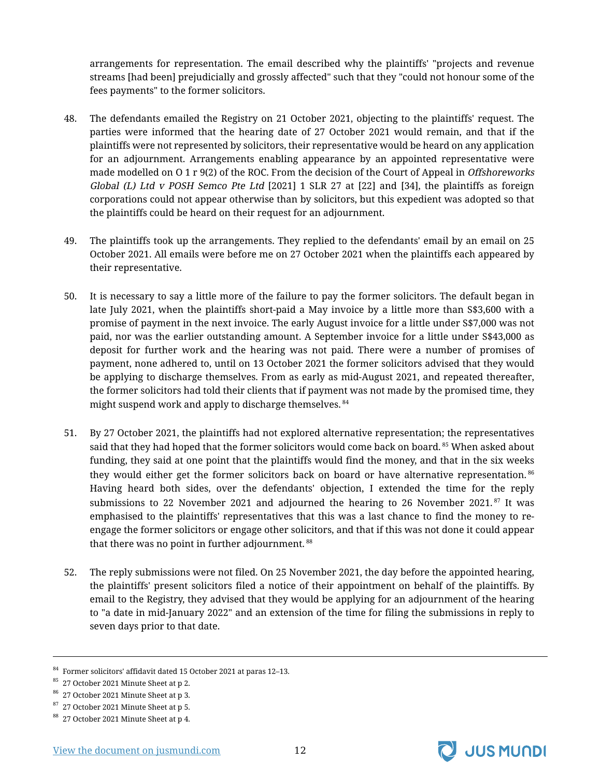arrangements for representation. The email described why the plaintiffs' "projects and revenue streams [had been] prejudicially and grossly affected" such that they "could not honour some of the fees payments" to the former solicitors.

- 48. The defendants emailed the Registry on 21 October 2021, objecting to the plaintiffs' request. The parties were informed that the hearing date of 27 October 2021 would remain, and that if the plaintiffs were not represented by solicitors, their representative would be heard on any application for an adjournment. Arrangements enabling appearance by an appointed representative were made modelled on O 1 r 9(2) of the ROC. From the decision of the Court of Appeal in Offshoreworks Global (L) Ltd v POSH Semco Pte Ltd [2021] 1 SLR 27 at [22] and [34], the plaintiffs as foreign corporations could not appear otherwise than by solicitors, but this expedient was adopted so that the plaintiffs could be heard on their request for an adjournment.
- 49. The plaintiffs took up the arrangements. They replied to the defendants' email by an email on 25 October 2021. All emails were before me on 27 October 2021 when the plaintiffs each appeared by their representative.
- 50. It is necessary to say a little more of the failure to pay the former solicitors. The default began in late July 2021, when the plaintiffs short-paid a May invoice by a little more than S\$3,600 with a promise of payment in the next invoice. The early August invoice for a little under S\$7,000 was not paid, nor was the earlier outstanding amount. A September invoice for a little under S\$43,000 as deposit for further work and the hearing was not paid. There were a number of promises of payment, none adhered to, until on 13 October 2021 the former solicitors advised that they would be applying to discharge themselves. From as early as mid-August 2021, and repeated thereafter, the former solicitors had told their clients that if payment was not made by the promised time, they might suspend work and apply to discharge themselves. 84
- 51. By 27 October 2021, the plaintiffs had not explored alternative representation; the representatives said that they had hoped that the former solicitors would come back on board.<sup>85</sup> When asked about funding, they said at one point that the plaintiffs would find the money, and that in the six weeks they would either get the former solicitors back on board or have alternative representation.<sup>86</sup> Having heard both sides, over the defendants' objection, I extended the time for the reply submissions to 22 November 2021 and adjourned the hearing to 26 November 2021. $87$  It was emphasised to the plaintiffs' representatives that this was a last chance to find the money to reengage the former solicitors or engage other solicitors, and that if this was not done it could appear that there was no point in further adjournment.<sup>88</sup>
- 52. The reply submissions were not filed. On 25 November 2021, the day before the appointed hearing, the plaintiffs' present solicitors filed a notice of their appointment on behalf of the plaintiffs. By email to the Registry, they advised that they would be applying for an adjournment of the hearing to "a date in mid-January 2022" and an extension of the time for filing the submissions in reply to seven days prior to that date.



<sup>84</sup> Former solicitors' affidavit dated 15 October 2021 at paras 12–13.

<sup>&</sup>lt;sup>85</sup> 27 October 2021 Minute Sheet at p 2.

<sup>86</sup> 27 October 2021 Minute Sheet at p 3.

 $87\,$  27 October 2021 Minute Sheet at p 5.

<sup>88</sup> 27 October 2021 Minute Sheet at p 4.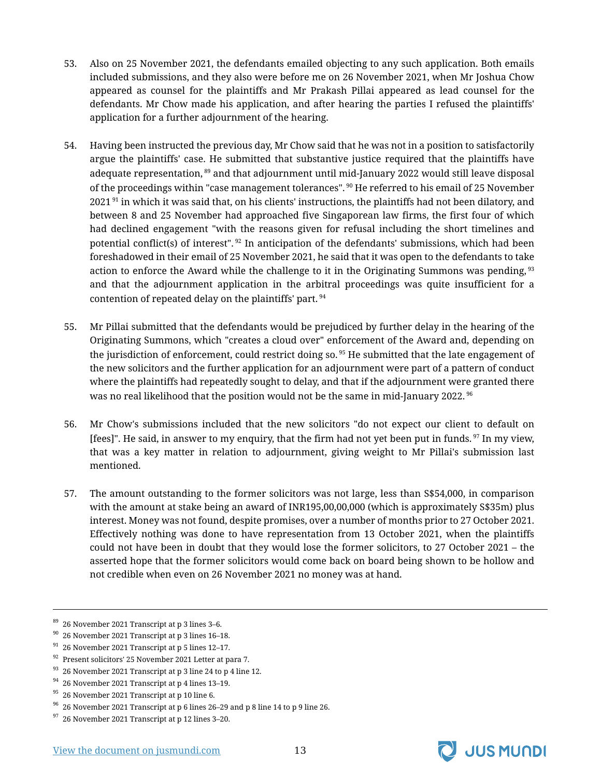- 53. Also on 25 November 2021, the defendants emailed objecting to any such application. Both emails included submissions, and they also were before me on 26 November 2021, when Mr Joshua Chow appeared as counsel for the plaintiffs and Mr Prakash Pillai appeared as lead counsel for the defendants. Mr Chow made his application, and after hearing the parties I refused the plaintiffs' application for a further adjournment of the hearing.
- 54. Having been instructed the previous day, Mr Chow said that he was not in a position to satisfactorily argue the plaintiffs' case. He submitted that substantive justice required that the plaintiffs have adequate representation,  $89$  and that adjournment until mid-January 2022 would still leave disposal of the proceedings within "case management tolerances". <sup>90</sup> He referred to his email of 25 November  $2021$ <sup>91</sup> in which it was said that, on his clients' instructions, the plaintiffs had not been dilatory, and between 8 and 25 November had approached five Singaporean law firms, the first four of which had declined engagement "with the reasons given for refusal including the short timelines and potential conflict(s) of interest". <sup>92</sup> In anticipation of the defendants' submissions, which had been foreshadowed in their email of 25 November 2021, he said that it was open to the defendants to take action to enforce the Award while the challenge to it in the Originating Summons was pending, <sup>93</sup> and that the adjournment application in the arbitral proceedings was quite insufficient for a contention of repeated delay on the plaintiffs' part.<sup>94</sup>
- 55. Mr Pillai submitted that the defendants would be prejudiced by further delay in the hearing of the Originating Summons, which "creates a cloud over" enforcement of the Award and, depending on the jurisdiction of enforcement, could restrict doing so.  $95$  He submitted that the late engagement of the new solicitors and the further application for an adjournment were part of a pattern of conduct where the plaintiffs had repeatedly sought to delay, and that if the adjournment were granted there was no real likelihood that the position would not be the same in mid-January 2022.  $96$
- 56. Mr Chow's submissions included that the new solicitors "do not expect our client to default on [fees]". He said, in answer to my enquiry, that the firm had not yet been put in funds.<sup>97</sup> In my view, that was a key matter in relation to adjournment, giving weight to Mr Pillai's submission last mentioned.
- 57. The amount outstanding to the former solicitors was not large, less than S\$54,000, in comparison with the amount at stake being an award of INR195,00,00,000 (which is approximately S\$35m) plus interest. Money was not found, despite promises, over a number of months prior to 27 October 2021. Effectively nothing was done to have representation from 13 October 2021, when the plaintiffs could not have been in doubt that they would lose the former solicitors, to 27 October 2021 – the asserted hope that the former solicitors would come back on board being shown to be hollow and not credible when even on 26 November 2021 no money was at hand.



 $89$  26 November 2021 Transcript at p 3 lines 3–6.

 $90\,$  26 November 2021 Transcript at p 3 lines 16–18.

 $91$  26 November 2021 Transcript at p 5 lines 12-17.

<sup>92</sup> Present solicitors' 25 November 2021 Letter at para 7.

 $93$  26 November 2021 Transcript at p 3 line 24 to p 4 line 12.

 $94$  26 November 2021 Transcript at p 4 lines 13–19.

 $95$  26 November 2021 Transcript at p 10 line 6.

<sup>96</sup> 26 November 2021 Transcript at p 6 lines 26–29 and p 8 line 14 to p 9 line 26.

 $97$  26 November 2021 Transcript at p 12 lines 3-20.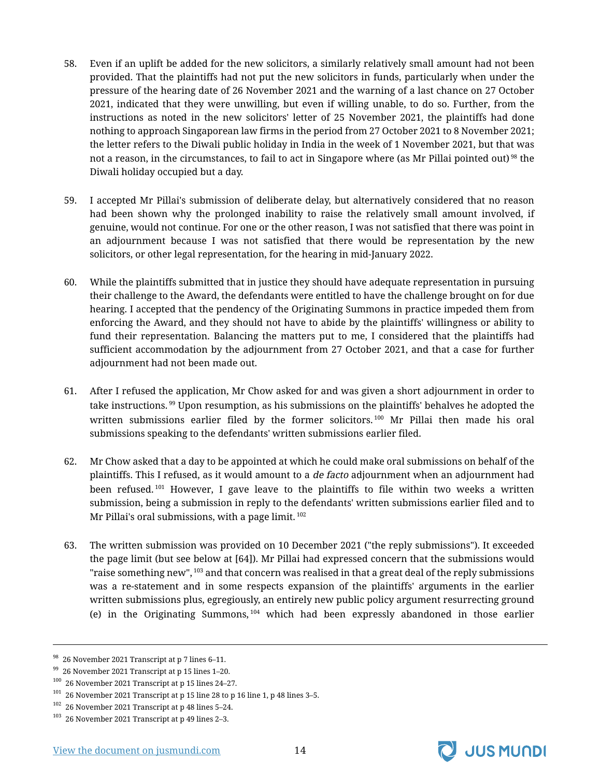- 58. Even if an uplift be added for the new solicitors, a similarly relatively small amount had not been provided. That the plaintiffs had not put the new solicitors in funds, particularly when under the pressure of the hearing date of 26 November 2021 and the warning of a last chance on 27 October 2021, indicated that they were unwilling, but even if willing unable, to do so. Further, from the instructions as noted in the new solicitors' letter of 25 November 2021, the plaintiffs had done nothing to approach Singaporean law firms in the period from 27 October 2021 to 8 November 2021; the letter refers to the Diwali public holiday in India in the week of 1 November 2021, but that was not a reason, in the circumstances, to fail to act in Singapore where (as Mr Pillai pointed out)<sup>98</sup> the Diwali holiday occupied but a day.
- 59. I accepted Mr Pillai's submission of deliberate delay, but alternatively considered that no reason had been shown why the prolonged inability to raise the relatively small amount involved, if genuine, would not continue. For one or the other reason, I was not satisfied that there was point in an adjournment because I was not satisfied that there would be representation by the new solicitors, or other legal representation, for the hearing in mid-January 2022.
- 60. While the plaintiffs submitted that in justice they should have adequate representation in pursuing their challenge to the Award, the defendants were entitled to have the challenge brought on for due hearing. I accepted that the pendency of the Originating Summons in practice impeded them from enforcing the Award, and they should not have to abide by the plaintiffs' willingness or ability to fund their representation. Balancing the matters put to me, I considered that the plaintiffs had sufficient accommodation by the adjournment from 27 October 2021, and that a case for further adjournment had not been made out.
- 61. After I refused the application, Mr Chow asked for and was given a short adjournment in order to take instructions.<sup>99</sup> Upon resumption, as his submissions on the plaintiffs' behalves he adopted the written submissions earlier filed by the former solicitors.<sup>100</sup> Mr Pillai then made his oral submissions speaking to the defendants' written submissions earlier filed.
- 62. Mr Chow asked that a day to be appointed at which he could make oral submissions on behalf of the plaintiffs. This I refused, as it would amount to a de facto adjournment when an adjournment had been refused.<sup>101</sup> However, I gave leave to the plaintiffs to file within two weeks a written submission, being a submission in reply to the defendants' written submissions earlier filed and to Mr Pillai's oral submissions, with a page limit.  $102$
- 63. The written submission was provided on 10 December 2021 ("the reply submissions"). It exceeded the page limit (but see below at [64]). Mr Pillai had expressed concern that the submissions would "raise something new",  $^{103}$  and that concern was realised in that a great deal of the reply submissions was a re-statement and in some respects expansion of the plaintiffs' arguments in the earlier written submissions plus, egregiously, an entirely new public policy argument resurrecting ground (e) in the Originating Summons,  $104$  which had been expressly abandoned in those earlier



<sup>98</sup> 26 November 2021 Transcript at p 7 lines 6–11.

 $99$  26 November 2021 Transcript at p 15 lines 1–20.

 $100$  26 November 2021 Transcript at p 15 lines 24-27.

 $101$  26 November 2021 Transcript at p 15 line 28 to p 16 line 1, p 48 lines 3-5.

<sup>102</sup> 26 November 2021 Transcript at p 48 lines 5–24.

<sup>103</sup> 26 November 2021 Transcript at p 49 lines 2–3.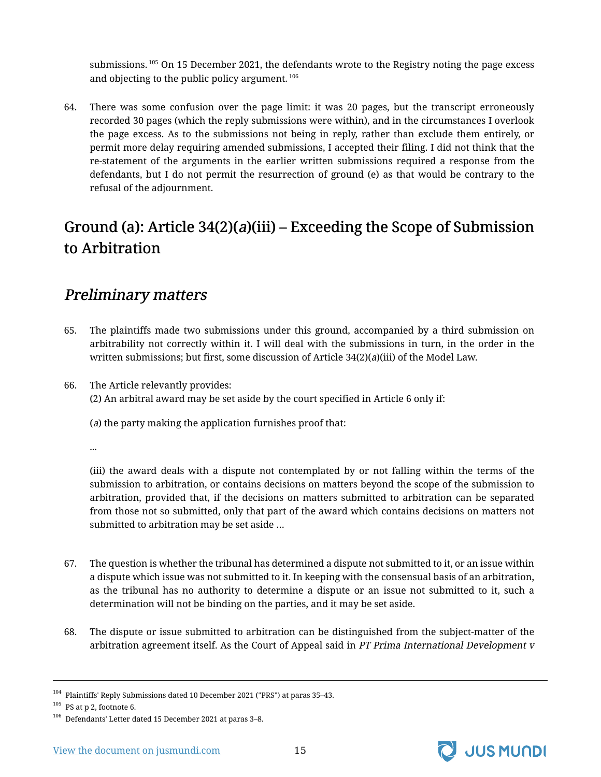submissions.<sup>105</sup> On 15 December 2021, the defendants wrote to the Registry noting the page excess and objecting to the public policy argument. <sup>106</sup>

64. There was some confusion over the page limit: it was 20 pages, but the transcript erroneously recorded 30 pages (which the reply submissions were within), and in the circumstances I overlook the page excess. As to the submissions not being in reply, rather than exclude them entirely, or permit more delay requiring amended submissions, I accepted their filing. I did not think that the re-statement of the arguments in the earlier written submissions required a response from the defendants, but I do not permit the resurrection of ground (e) as that would be contrary to the refusal of the adjournment.

# <span id="page-16-0"></span>Ground (a): Article  $34(2)(a)(iii)$  – Exceeding the Scope of Submission to Arbitration

#### <span id="page-16-1"></span>Preliminary matters

- 65. The plaintiffs made two submissions under this ground, accompanied by a third submission on arbitrability not correctly within it. I will deal with the submissions in turn, in the order in the written submissions; but first, some discussion of Article 34(2)(a)(iii) of the Model Law.
- 66. The Article relevantly provides: (2) An arbitral award may be set aside by the court specified in Article 6 only if:

(a) the party making the application furnishes proof that:

...

(iii) the award deals with a dispute not contemplated by or not falling within the terms of the submission to arbitration, or contains decisions on matters beyond the scope of the submission to arbitration, provided that, if the decisions on matters submitted to arbitration can be separated from those not so submitted, only that part of the award which contains decisions on matters not submitted to arbitration may be set aside …

- 67. The question is whether the tribunal has determined a dispute not submitted to it, or an issue within a dispute which issue was not submitted to it. In keeping with the consensual basis of an arbitration, as the tribunal has no authority to determine a dispute or an issue not submitted to it, such a determination will not be binding on the parties, and it may be set aside.
- 68. The dispute or issue submitted to arbitration can be distinguished from the subject-matter of the arbitration agreement itself. As the Court of Appeal said in PT Prima International Development v



<sup>104</sup> Plaintiffs' Reply Submissions dated 10 December 2021 ("PRS") at paras 35–43.

 $^{105}\,$  PS at p 2, footnote 6.

<sup>106</sup> Defendants' Letter dated 15 December 2021 at paras 3–8.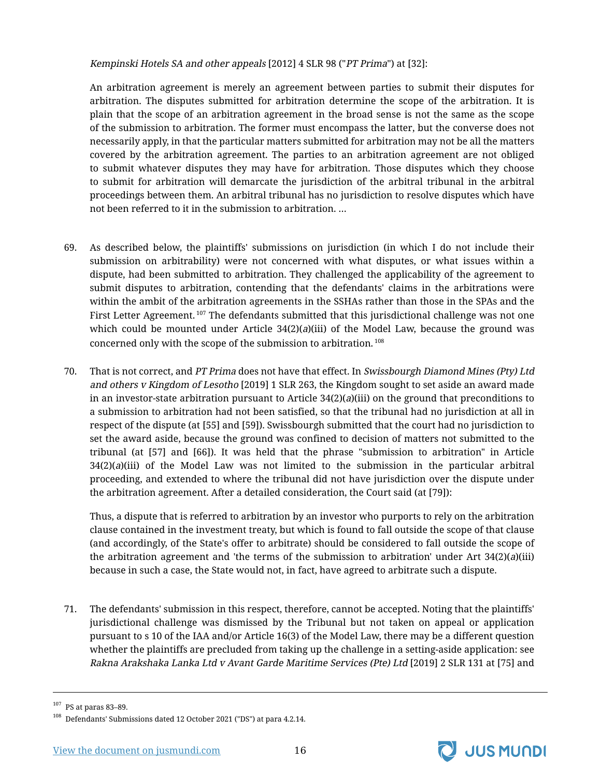Kempinski Hotels SA and other appeals [2012] 4 SLR 98 ("PT Prima") at [32]:

An arbitration agreement is merely an agreement between parties to submit their disputes for arbitration. The disputes submitted for arbitration determine the scope of the arbitration. It is plain that the scope of an arbitration agreement in the broad sense is not the same as the scope of the submission to arbitration. The former must encompass the latter, but the converse does not necessarily apply, in that the particular matters submitted for arbitration may not be all the matters covered by the arbitration agreement. The parties to an arbitration agreement are not obliged to submit whatever disputes they may have for arbitration. Those disputes which they choose to submit for arbitration will demarcate the jurisdiction of the arbitral tribunal in the arbitral proceedings between them. An arbitral tribunal has no jurisdiction to resolve disputes which have not been referred to it in the submission to arbitration. …

- 69. As described below, the plaintiffs' submissions on jurisdiction (in which I do not include their submission on arbitrability) were not concerned with what disputes, or what issues within a dispute, had been submitted to arbitration. They challenged the applicability of the agreement to submit disputes to arbitration, contending that the defendants' claims in the arbitrations were within the ambit of the arbitration agreements in the SSHAs rather than those in the SPAs and the First Letter Agreement.<sup>107</sup> The defendants submitted that this jurisdictional challenge was not one which could be mounted under Article  $34(2)(a)(iii)$  of the Model Law, because the ground was concerned only with the scope of the submission to arbitration. <sup>108</sup>
- 70. That is not correct, and PT Prima does not have that effect. In Swissbourgh Diamond Mines (Pty) Ltd and others <sup>v</sup> Kingdom of Lesotho [2019] 1 SLR 263, the Kingdom sought to set aside an award made in an investor-state arbitration pursuant to Article  $34(2)(a)(iii)$  on the ground that preconditions to a submission to arbitration had not been satisfied, so that the tribunal had no jurisdiction at all in respect of the dispute (at [55] and [59]). Swissbourgh submitted that the court had no jurisdiction to set the award aside, because the ground was confined to decision of matters not submitted to the tribunal (at [57] and [66]). It was held that the phrase "submission to arbitration" in Article  $34(2)(a)(iii)$  of the Model Law was not limited to the submission in the particular arbitral proceeding, and extended to where the tribunal did not have jurisdiction over the dispute under the arbitration agreement. After a detailed consideration, the Court said (at [79]):

Thus, a dispute that is referred to arbitration by an investor who purports to rely on the arbitration clause contained in the investment treaty, but which is found to fall outside the scope of that clause (and accordingly, of the State's offer to arbitrate) should be considered to fall outside the scope of the arbitration agreement and 'the terms of the submission to arbitration' under Art  $34(2)(a)(iii)$ because in such a case, the State would not, in fact, have agreed to arbitrate such a dispute.

71. The defendants' submission in this respect, therefore, cannot be accepted. Noting that the plaintiffs' jurisdictional challenge was dismissed by the Tribunal but not taken on appeal or application pursuant to s 10 of the IAA and/or Article 16(3) of the Model Law, there may be a different question whether the plaintiffs are precluded from taking up the challenge in a setting-aside application: see Rakna Arakshaka Lanka Ltd <sup>v</sup> Avant Garde Maritime Services (Pte) Ltd [2019] 2 SLR 131 at [75] and



<sup>107</sup> PS at paras 83–89.

<sup>108</sup> Defendants' Submissions dated 12 October 2021 ("DS") at para 4.2.14.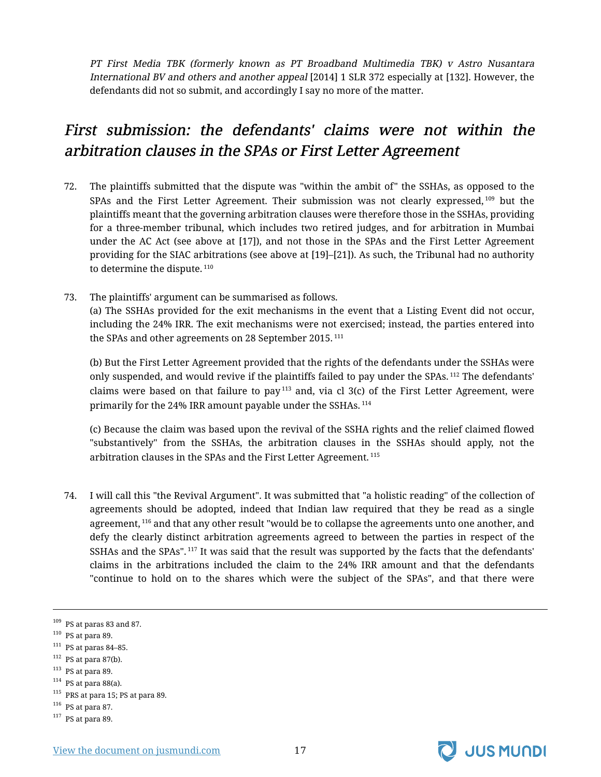PT First Media TBK (formerly known as PT Broadband Multimedia TBK) <sup>v</sup> Astro Nusantara International BV and others and another appeal [2014] 1 SLR 372 especially at [132]. However, the defendants did not so submit, and accordingly I say no more of the matter.

# <span id="page-18-0"></span>First submission: the defendants' claims were not within the arbitration clauses in the SPAs or First Letter Agreement

- 72. The plaintiffs submitted that the dispute was "within the ambit of" the SSHAs, as opposed to the SPAs and the First Letter Agreement. Their submission was not clearly expressed, <sup>109</sup> but the plaintiffs meant that the governing arbitration clauses were therefore those in the SSHAs, providing for a three-member tribunal, which includes two retired judges, and for arbitration in Mumbai under the AC Act (see above at [17]), and not those in the SPAs and the First Letter Agreement providing for the SIAC arbitrations (see above at [19]–[21]). As such, the Tribunal had no authority to determine the dispute.<sup>110</sup>
- 73. The plaintiffs' argument can be summarised as follows. (a) The SSHAs provided for the exit mechanisms in the event that a Listing Event did not occur, including the 24% IRR. The exit mechanisms were not exercised; instead, the parties entered into the SPAs and other agreements on 28 September 2015.<sup>111</sup>

(b) But the First Letter Agreement provided that the rights of the defendants under the SSHAs were only suspended, and would revive if the plaintiffs failed to pay under the SPAs.<sup>112</sup> The defendants' claims were based on that failure to pay $^{113}$  and, via cl 3(c) of the First Letter Agreement, were primarily for the 24% IRR amount payable under the SSHAs. <sup>114</sup>

(c) Because the claim was based upon the revival of the SSHA rights and the relief claimed flowed "substantively" from the SSHAs, the arbitration clauses in the SSHAs should apply, not the arbitration clauses in the SPAs and the First Letter Agreement. <sup>115</sup>

74. I will call this "the Revival Argument". It was submitted that "a holistic reading" of the collection of agreements should be adopted, indeed that Indian law required that they be read as a single agreement, <sup>116</sup> and that any other result "would be to collapse the agreements unto one another, and defy the clearly distinct arbitration agreements agreed to between the parties in respect of the SSHAs and the SPAs".<sup>117</sup> It was said that the result was supported by the facts that the defendants' claims in the arbitrations included the claim to the 24% IRR amount and that the defendants "continue to hold on to the shares which were the subject of the SPAs", and that there were

- $111$  PS at paras 84-85.
- $112$  PS at para 87(b).
- $113$  PS at para 89.
- $114$  PS at para 88(a).
- <sup>115</sup> PRS at para 15; PS at para 89.
- $^{116}\,$  PS at para 87.
- $117$  PS at para 89.



 $109\,$  PS at paras 83 and 87.

 $110$  PS at para 89.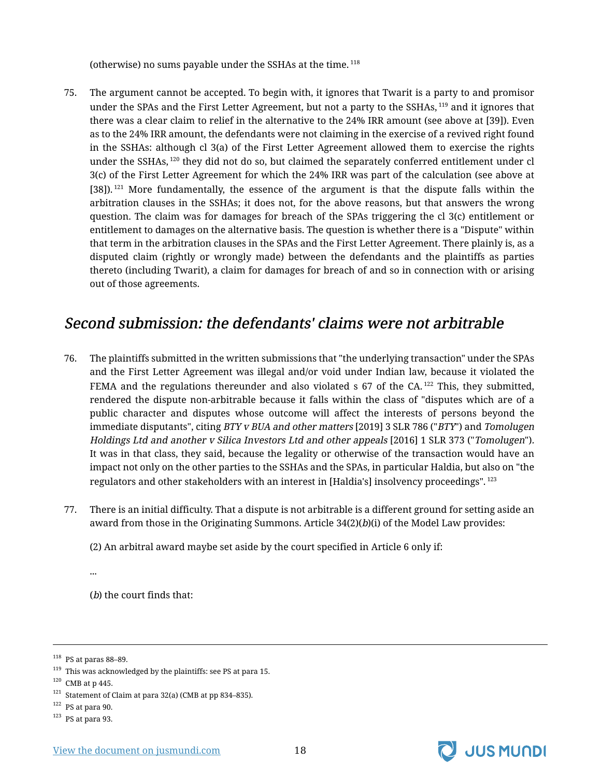(otherwise) no sums payable under the SSHAs at the time. <sup>118</sup>

75. The argument cannot be accepted. To begin with, it ignores that Twarit is a party to and promisor under the SPAs and the First Letter Agreement, but not a party to the SSHAs,<sup>119</sup> and it ignores that there was a clear claim to relief in the alternative to the 24% IRR amount (see above at [39]). Even as to the 24% IRR amount, the defendants were not claiming in the exercise of a revived right found in the SSHAs: although cl 3(a) of the First Letter Agreement allowed them to exercise the rights under the SSHAs,<sup>120</sup> they did not do so, but claimed the separately conferred entitlement under cl 3(c) of the First Letter Agreement for which the 24% IRR was part of the calculation (see above at [38]).<sup>121</sup> More fundamentally, the essence of the argument is that the dispute falls within the arbitration clauses in the SSHAs; it does not, for the above reasons, but that answers the wrong question. The claim was for damages for breach of the SPAs triggering the cl 3(c) entitlement or entitlement to damages on the alternative basis. The question is whether there is a "Dispute" within that term in the arbitration clauses in the SPAs and the First Letter Agreement. There plainly is, as a disputed claim (rightly or wrongly made) between the defendants and the plaintiffs as parties thereto (including Twarit), a claim for damages for breach of and so in connection with or arising out of those agreements.

#### <span id="page-19-0"></span>Second submission: the defendants' claims were not arbitrable

- 76. The plaintiffs submitted in the written submissions that "the underlying transaction" under the SPAs and the First Letter Agreement was illegal and/or void under Indian law, because it violated the FEMA and the regulations thereunder and also violated  $\overline{s}$  67 of the CA.<sup>122</sup> This, they submitted, rendered the dispute non-arbitrable because it falls within the class of "disputes which are of a public character and disputes whose outcome will affect the interests of persons beyond the immediate disputants", citing BTY v BUA and other matters [2019] 3 SLR 786 ("BTY") and Tomolugen Holdings Ltd and another <sup>v</sup> Silica Investors Ltd and other appeals [2016] 1 SLR 373 ("Tomolugen"). It was in that class, they said, because the legality or otherwise of the transaction would have an impact not only on the other parties to the SSHAs and the SPAs, in particular Haldia, but also on "the regulators and other stakeholders with an interest in [Haldia's] insolvency proceedings". <sup>123</sup>
- 77. There is an initial difficulty. That a dispute is not arbitrable is a different ground for setting aside an award from those in the Originating Summons. Article 34(2)(b)(i) of the Model Law provides:

(2) An arbitral award maybe set aside by the court specified in Article 6 only if:

...

(b) the court finds that:

 $123$  PS at para 93.



 $^{118}\,$  PS at paras 88–89.

 $119$  This was acknowledged by the plaintiffs: see PS at para 15.

 $120$  CMB at p 445.

 $^{121}$  Statement of Claim at para 32(a) (CMB at pp 834–835).

 $122$  PS at para 90.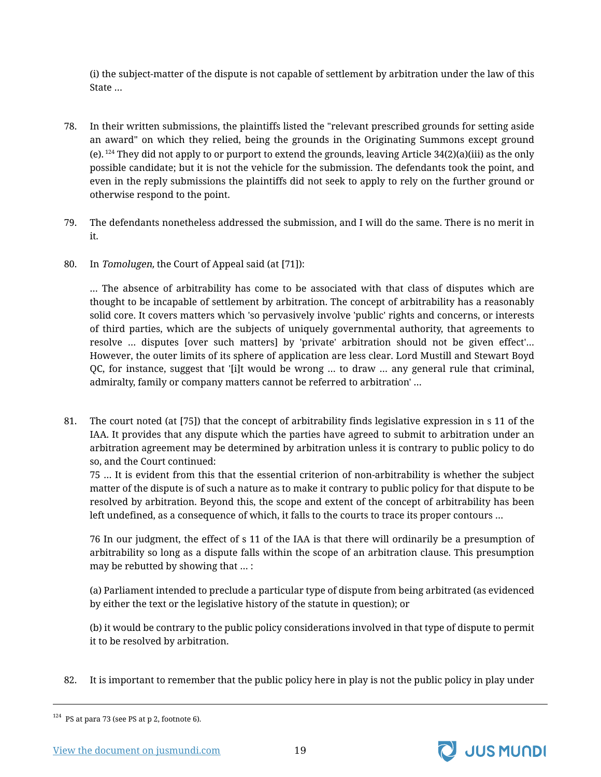(i) the subject-matter of the dispute is not capable of settlement by arbitration under the law of this State …

- 78. In their written submissions, the plaintiffs listed the "relevant prescribed grounds for setting aside an award" on which they relied, being the grounds in the Originating Summons except ground (e).  $^{124}$  They did not apply to or purport to extend the grounds, leaving Article 34(2)(a)(iii) as the only possible candidate; but it is not the vehicle for the submission. The defendants took the point, and even in the reply submissions the plaintiffs did not seek to apply to rely on the further ground or otherwise respond to the point.
- 79. The defendants nonetheless addressed the submission, and I will do the same. There is no merit in it.
- 80. In Tomolugen, the Court of Appeal said (at [71]):

… The absence of arbitrability has come to be associated with that class of disputes which are thought to be incapable of settlement by arbitration. The concept of arbitrability has a reasonably solid core. It covers matters which 'so pervasively involve 'public' rights and concerns, or interests of third parties, which are the subjects of uniquely governmental authority, that agreements to resolve … disputes [over such matters] by 'private' arbitration should not be given effect'… However, the outer limits of its sphere of application are less clear. Lord Mustill and Stewart Boyd QC, for instance, suggest that '[i]t would be wrong … to draw … any general rule that criminal, admiralty, family or company matters cannot be referred to arbitration' …

81. The court noted (at [75]) that the concept of arbitrability finds legislative expression in s 11 of the IAA. It provides that any dispute which the parties have agreed to submit to arbitration under an arbitration agreement may be determined by arbitration unless it is contrary to public policy to do so, and the Court continued:

75 … It is evident from this that the essential criterion of non-arbitrability is whether the subject matter of the dispute is of such a nature as to make it contrary to public policy for that dispute to be resolved by arbitration. Beyond this, the scope and extent of the concept of arbitrability has been left undefined, as a consequence of which, it falls to the courts to trace its proper contours …

76 In our judgment, the effect of s 11 of the IAA is that there will ordinarily be a presumption of arbitrability so long as a dispute falls within the scope of an arbitration clause. This presumption may be rebutted by showing that … :

(a) Parliament intended to preclude a particular type of dispute from being arbitrated (as evidenced by either the text or the legislative history of the statute in question); or

(b) it would be contrary to the public policy considerations involved in that type of dispute to permit it to be resolved by arbitration.

82. It is important to remember that the public policy here in play is not the public policy in play under



<sup>124</sup> PS at para 73 (see PS at p 2, footnote 6).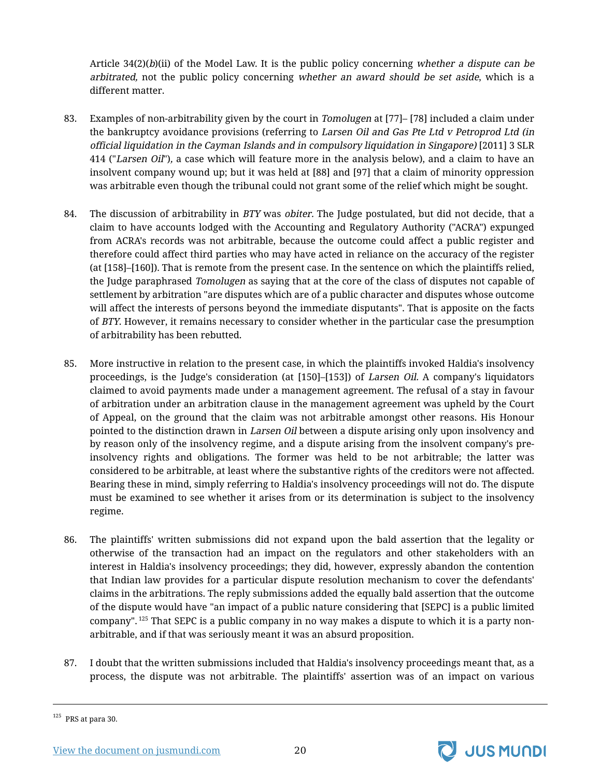Article  $34(2)(b)(ii)$  of the Model Law. It is the public policy concerning whether a dispute can be arbitrated, not the public policy concerning whether an award should be set aside, which is a different matter.

- 83. Examples of non-arbitrability given by the court in *Tomolugen* at [77]– [78] included a claim under the bankruptcy avoidance provisions (referring to Larsen Oil and Gas Pte Ltd v Petroprod Ltd (in official liquidation in the Cayman Islands and in compulsory liquidation in Singapore) [2011] 3 SLR 414 ("Larsen Oil"), a case which will feature more in the analysis below), and a claim to have an insolvent company wound up; but it was held at [88] and [97] that a claim of minority oppression was arbitrable even though the tribunal could not grant some of the relief which might be sought.
- 84. The discussion of arbitrability in *BTY* was *obiter*. The Judge postulated, but did not decide, that a claim to have accounts lodged with the Accounting and Regulatory Authority ("ACRA") expunged from ACRA's records was not arbitrable, because the outcome could affect a public register and therefore could affect third parties who may have acted in reliance on the accuracy of the register (at [158]–[160]). That is remote from the present case. In the sentence on which the plaintiffs relied, the Judge paraphrased Tomolugen as saying that at the core of the class of disputes not capable of settlement by arbitration "are disputes which are of a public character and disputes whose outcome will affect the interests of persons beyond the immediate disputants". That is apposite on the facts of BTY. However, it remains necessary to consider whether in the particular case the presumption of arbitrability has been rebutted.
- 85. More instructive in relation to the present case, in which the plaintiffs invoked Haldia's insolvency proceedings, is the Judge's consideration (at [150]–[153]) of Larsen Oil. A company's liquidators claimed to avoid payments made under a management agreement. The refusal of a stay in favour of arbitration under an arbitration clause in the management agreement was upheld by the Court of Appeal, on the ground that the claim was not arbitrable amongst other reasons. His Honour pointed to the distinction drawn in Larsen Oil between a dispute arising only upon insolvency and by reason only of the insolvency regime, and a dispute arising from the insolvent company's preinsolvency rights and obligations. The former was held to be not arbitrable; the latter was considered to be arbitrable, at least where the substantive rights of the creditors were not affected. Bearing these in mind, simply referring to Haldia's insolvency proceedings will not do. The dispute must be examined to see whether it arises from or its determination is subject to the insolvency regime.
- 86. The plaintiffs' written submissions did not expand upon the bald assertion that the legality or otherwise of the transaction had an impact on the regulators and other stakeholders with an interest in Haldia's insolvency proceedings; they did, however, expressly abandon the contention that Indian law provides for a particular dispute resolution mechanism to cover the defendants' claims in the arbitrations. The reply submissions added the equally bald assertion that the outcome of the dispute would have "an impact of a public nature considering that [SEPC] is a public limited company". <sup>125</sup> That SEPC is a public company in no way makes a dispute to which it is a party nonarbitrable, and if that was seriously meant it was an absurd proposition.
- 87. I doubt that the written submissions included that Haldia's insolvency proceedings meant that, as a process, the dispute was not arbitrable. The plaintiffs' assertion was of an impact on various



 $125$  PRS at para 30.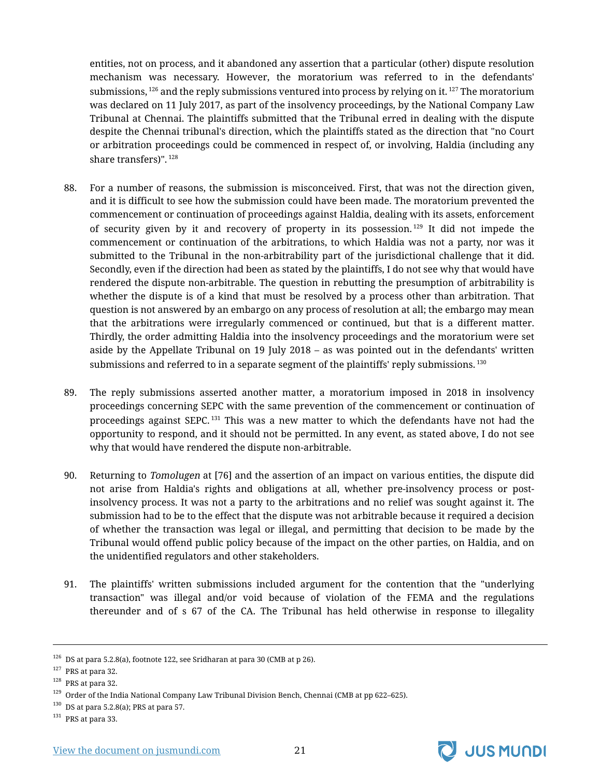entities, not on process, and it abandoned any assertion that a particular (other) dispute resolution mechanism was necessary. However, the moratorium was referred to in the defendants' submissions,  $^{126}$  and the reply submissions ventured into process by relying on it.  $^{127}$  The moratorium was declared on 11 July 2017, as part of the insolvency proceedings, by the National Company Law Tribunal at Chennai. The plaintiffs submitted that the Tribunal erred in dealing with the dispute despite the Chennai tribunal's direction, which the plaintiffs stated as the direction that "no Court or arbitration proceedings could be commenced in respect of, or involving, Haldia (including any share transfers)".<sup>128</sup>

- 88. For a number of reasons, the submission is misconceived. First, that was not the direction given, and it is difficult to see how the submission could have been made. The moratorium prevented the commencement or continuation of proceedings against Haldia, dealing with its assets, enforcement of security given by it and recovery of property in its possession.<sup>129</sup> It did not impede the commencement or continuation of the arbitrations, to which Haldia was not a party, nor was it submitted to the Tribunal in the non-arbitrability part of the jurisdictional challenge that it did. Secondly, even if the direction had been as stated by the plaintiffs, I do not see why that would have rendered the dispute non-arbitrable. The question in rebutting the presumption of arbitrability is whether the dispute is of a kind that must be resolved by a process other than arbitration. That question is not answered by an embargo on any process of resolution at all; the embargo may mean that the arbitrations were irregularly commenced or continued, but that is a different matter. Thirdly, the order admitting Haldia into the insolvency proceedings and the moratorium were set aside by the Appellate Tribunal on 19 July 2018 – as was pointed out in the defendants' written submissions and referred to in a separate segment of the plaintiffs' reply submissions.  $^{130}$
- 89. The reply submissions asserted another matter, a moratorium imposed in 2018 in insolvency proceedings concerning SEPC with the same prevention of the commencement or continuation of proceedings against SEPC. <sup>131</sup> This was a new matter to which the defendants have not had the opportunity to respond, and it should not be permitted. In any event, as stated above, I do not see why that would have rendered the dispute non-arbitrable.
- 90. Returning to Tomolugen at [76] and the assertion of an impact on various entities, the dispute did not arise from Haldia's rights and obligations at all, whether pre-insolvency process or postinsolvency process. It was not a party to the arbitrations and no relief was sought against it. The submission had to be to the effect that the dispute was not arbitrable because it required a decision of whether the transaction was legal or illegal, and permitting that decision to be made by the Tribunal would offend public policy because of the impact on the other parties, on Haldia, and on the unidentified regulators and other stakeholders.
- 91. The plaintiffs' written submissions included argument for the contention that the "underlying transaction" was illegal and/or void because of violation of the FEMA and the regulations thereunder and of s 67 of the CA. The Tribunal has held otherwise in response to illegality



 $^{126}\,$  DS at para 5.2.8(a), footnote 122, see Sridharan at para 30 (CMB at p 26).

 $127$  PRS at para 32.

<sup>128</sup> PRS at para 32.

<sup>&</sup>lt;sup>129</sup> Order of the India National Company Law Tribunal Division Bench, Chennai (CMB at pp 622–625).

 $130$  DS at para 5.2.8(a); PRS at para 57.

 $^{131}\,$  PRS at para 33.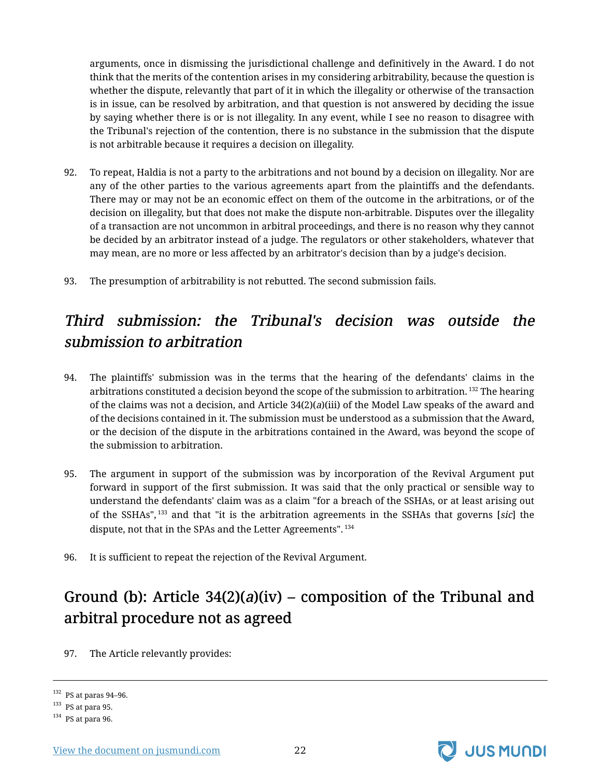arguments, once in dismissing the jurisdictional challenge and definitively in the Award. I do not think that the merits of the contention arises in my considering arbitrability, because the question is whether the dispute, relevantly that part of it in which the illegality or otherwise of the transaction is in issue, can be resolved by arbitration, and that question is not answered by deciding the issue by saying whether there is or is not illegality. In any event, while I see no reason to disagree with the Tribunal's rejection of the contention, there is no substance in the submission that the dispute is not arbitrable because it requires a decision on illegality.

- 92. To repeat, Haldia is not a party to the arbitrations and not bound by a decision on illegality. Nor are any of the other parties to the various agreements apart from the plaintiffs and the defendants. There may or may not be an economic effect on them of the outcome in the arbitrations, or of the decision on illegality, but that does not make the dispute non-arbitrable. Disputes over the illegality of a transaction are not uncommon in arbitral proceedings, and there is no reason why they cannot be decided by an arbitrator instead of a judge. The regulators or other stakeholders, whatever that may mean, are no more or less affected by an arbitrator's decision than by a judge's decision.
- 93. The presumption of arbitrability is not rebutted. The second submission fails.

# <span id="page-23-0"></span>Third submission: the Tribunal's decision was outside the submission to arbitration

- 94. The plaintiffs' submission was in the terms that the hearing of the defendants' claims in the arbitrations constituted a decision beyond the scope of the submission to arbitration.  $^{132}$  The hearing of the claims was not a decision, and Article  $34(2)(a)(iii)$  of the Model Law speaks of the award and of the decisions contained in it. The submission must be understood as a submission that the Award, or the decision of the dispute in the arbitrations contained in the Award, was beyond the scope of the submission to arbitration.
- 95. The argument in support of the submission was by incorporation of the Revival Argument put forward in support of the first submission. It was said that the only practical or sensible way to understand the defendants' claim was as a claim "for a breach of the SSHAs, or at least arising out of the SSHAs", <sup>133</sup> and that "it is the arbitration agreements in the SSHAs that governs [sic] the dispute, not that in the SPAs and the Letter Agreements". <sup>134</sup>
- 96. It is sufficient to repeat the rejection of the Revival Argument.

# <span id="page-23-1"></span>Ground (b): Article  $34(2)(a)(iv)$  – composition of the Tribunal and arbitral procedure not as agreed

97. The Article relevantly provides:



 $^{132}\,$  PS at paras 94–96.

 $^{133}\,$  PS at para 95.

 $^{134}\,$  PS at para 96.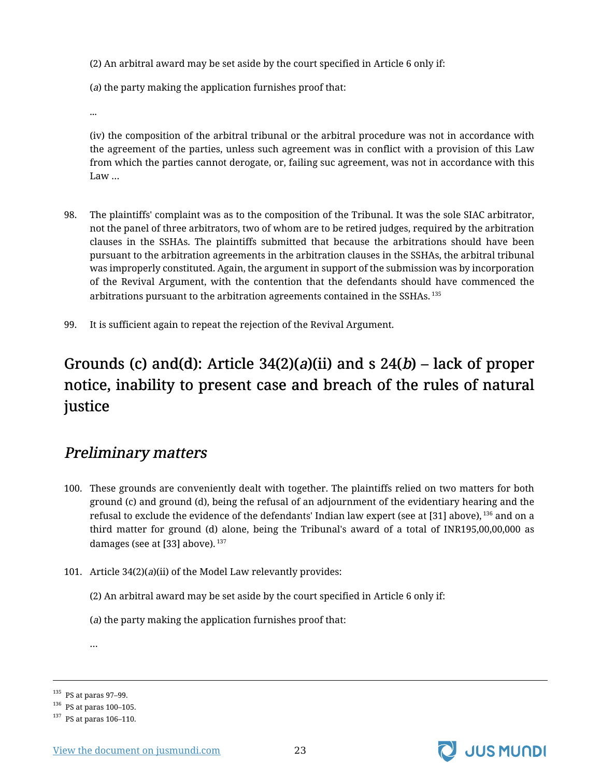(2) An arbitral award may be set aside by the court specified in Article 6 only if:

(a) the party making the application furnishes proof that:

...

(iv) the composition of the arbitral tribunal or the arbitral procedure was not in accordance with the agreement of the parties, unless such agreement was in conflict with a provision of this Law from which the parties cannot derogate, or, failing suc agreement, was not in accordance with this Law …

- 98. The plaintiffs' complaint was as to the composition of the Tribunal. It was the sole SIAC arbitrator, not the panel of three arbitrators, two of whom are to be retired judges, required by the arbitration clauses in the SSHAs. The plaintiffs submitted that because the arbitrations should have been pursuant to the arbitration agreements in the arbitration clauses in the SSHAs, the arbitral tribunal was improperly constituted. Again, the argument in support of the submission was by incorporation of the Revival Argument, with the contention that the defendants should have commenced the arbitrations pursuant to the arbitration agreements contained in the SSHAs. <sup>135</sup>
- 99. It is sufficient again to repeat the rejection of the Revival Argument.

# <span id="page-24-0"></span>Grounds (c) and(d): Article  $34(2)(a)(ii)$  and s  $24(b)$  – lack of proper notice, inability to present case and breach of the rules of natural justice

### <span id="page-24-1"></span>Preliminary matters

- 100. These grounds are conveniently dealt with together. The plaintiffs relied on two matters for both ground (c) and ground (d), being the refusal of an adjournment of the evidentiary hearing and the refusal to exclude the evidence of the defendants' Indian law expert (see at [31] above), <sup>136</sup> and on a third matter for ground (d) alone, being the Tribunal's award of a total of INR195,00,00,000 as damages (see at [33] above).  $137$
- 101. Article 34(2)(a)(ii) of the Model Law relevantly provides:

(2) An arbitral award may be set aside by the court specified in Article 6 only if:

(a) the party making the application furnishes proof that:

…



 $^{135}\,$  PS at paras 97–99.

<sup>136</sup> PS at paras 100–105.

<sup>137</sup> PS at paras 106–110.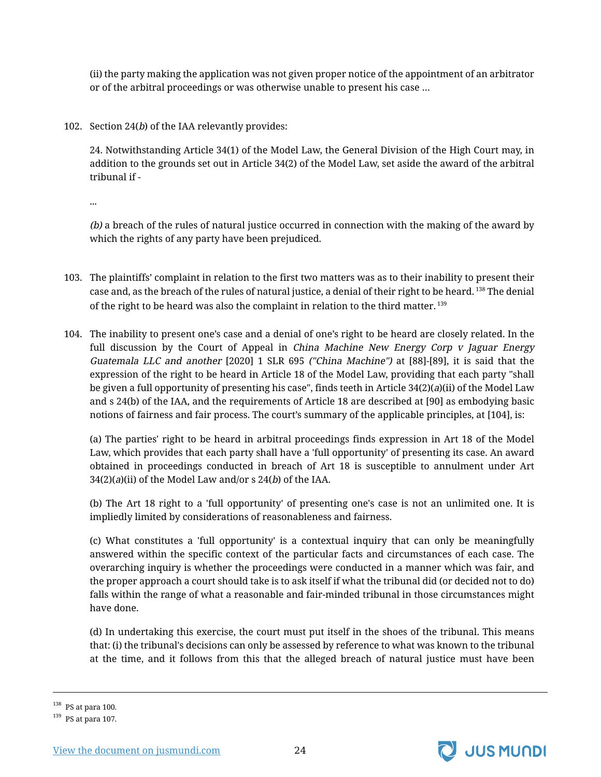(ii) the party making the application was not given proper notice of the appointment of an arbitrator or of the arbitral proceedings or was otherwise unable to present his case …

102. Section 24(*b*) of the IAA relevantly provides:

24. Notwithstanding Article 34(1) of the Model Law, the General Division of the High Court may, in addition to the grounds set out in Article 34(2) of the Model Law, set aside the award of the arbitral tribunal if -

...

(b) a breach of the rules of natural justice occurred in connection with the making of the award by which the rights of any party have been prejudiced.

- 103. The plaintiffs' complaint in relation to the first two matters was as to their inability to present their case and, as the breach of the rules of natural justice, a denial of their right to be heard. <sup>138</sup> The denial of the right to be heard was also the complaint in relation to the third matter. <sup>139</sup>
- 104. The inability to present one's case and a denial of one's right to be heard are closely related. In the full discussion by the Court of Appeal in *China Machine New Energy Corp v Jaguar Energy* Guatemala LLC and another [2020] 1 SLR 695 ("China Machine") at [88]-[89], it is said that the expression of the right to be heard in Article 18 of the Model Law, providing that each party "shall be given a full opportunity of presenting his case", finds teeth in Article 34(2)(a)(ii) of the Model Law and s 24(b) of the IAA, and the requirements of Article 18 are described at [90] as embodying basic notions of fairness and fair process. The court's summary of the applicable principles, at [104], is:

(a) The parties' right to be heard in arbitral proceedings finds expression in Art 18 of the Model Law, which provides that each party shall have a 'full opportunity' of presenting its case. An award obtained in proceedings conducted in breach of Art 18 is susceptible to annulment under Art 34(2)(a)(ii) of the Model Law and/or s 24(b) of the IAA.

(b) The Art 18 right to a 'full opportunity' of presenting one's case is not an unlimited one. It is impliedly limited by considerations of reasonableness and fairness.

(c) What constitutes a 'full opportunity' is a contextual inquiry that can only be meaningfully answered within the specific context of the particular facts and circumstances of each case. The overarching inquiry is whether the proceedings were conducted in a manner which was fair, and the proper approach a court should take is to ask itself if what the tribunal did (or decided not to do) falls within the range of what a reasonable and fair-minded tribunal in those circumstances might have done.

(d) In undertaking this exercise, the court must put itself in the shoes of the tribunal. This means that: (i) the tribunal's decisions can only be assessed by reference to what was known to the tribunal at the time, and it follows from this that the alleged breach of natural justice must have been



 $^{138}\,$  PS at para 100.

 $139$  PS at para 107.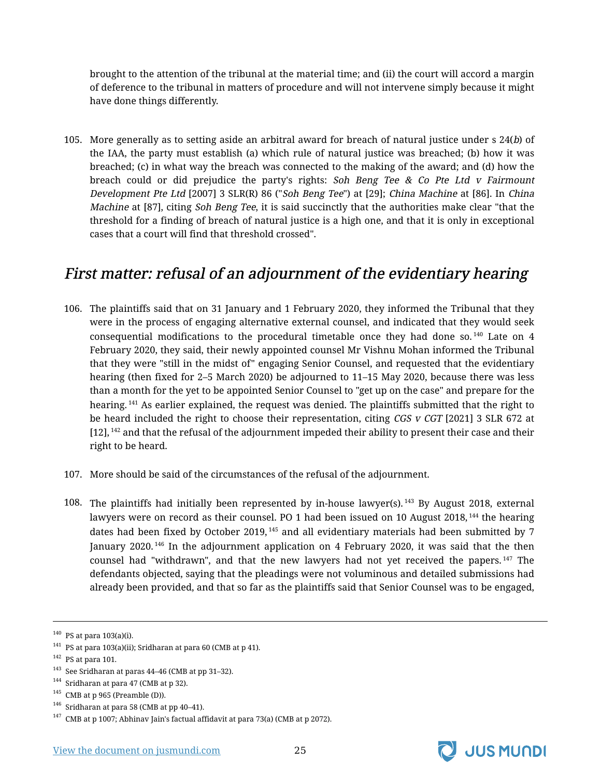brought to the attention of the tribunal at the material time; and (ii) the court will accord a margin of deference to the tribunal in matters of procedure and will not intervene simply because it might have done things differently.

105. More generally as to setting aside an arbitral award for breach of natural justice under s 24(b) of the IAA, the party must establish (a) which rule of natural justice was breached; (b) how it was breached; (c) in what way the breach was connected to the making of the award; and (d) how the breach could or did prejudice the party's rights: Soh Beng Tee  $& Co$  Pte Ltd v Fairmount Development Pte Ltd [2007] 3 SLR(R) 86 ("Soh Beng Tee") at [29]; China Machine at [86]. In China Machine at [87], citing Soh Beng Tee, it is said succinctly that the authorities make clear "that the threshold for a finding of breach of natural justice is a high one, and that it is only in exceptional cases that a court will find that threshold crossed".

#### <span id="page-26-0"></span>First matter: refusal of an adjournment of the evidentiary hearing

- 106. The plaintiffs said that on 31 January and 1 February 2020, they informed the Tribunal that they were in the process of engaging alternative external counsel, and indicated that they would seek consequential modifications to the procedural timetable once they had done so.<sup>140</sup> Late on  $4$ February 2020, they said, their newly appointed counsel Mr Vishnu Mohan informed the Tribunal that they were "still in the midst of" engaging Senior Counsel, and requested that the evidentiary hearing (then fixed for 2–5 March 2020) be adjourned to 11–15 May 2020, because there was less than a month for the yet to be appointed Senior Counsel to "get up on the case" and prepare for the hearing.<sup>141</sup> As earlier explained, the request was denied. The plaintiffs submitted that the right to be heard included the right to choose their representation, citing  $CGS$  v  $CGT$  [2021] 3 SLR 672 at [12], <sup>142</sup> and that the refusal of the adjournment impeded their ability to present their case and their right to be heard.
- 107. More should be said of the circumstances of the refusal of the adjournment.
- 108. The plaintiffs had initially been represented by in-house lawyer(s). <sup>143</sup> By August 2018, external lawyers were on record as their counsel. PO 1 had been issued on 10 August 2018,<sup>144</sup> the hearing dates had been fixed by October 2019,  $145$  and all evidentiary materials had been submitted by 7 January 2020.<sup>146</sup> In the adjournment application on 4 February 2020, it was said that the then counsel had "withdrawn", and that the new lawyers had not yet received the papers. <sup>147</sup> The defendants objected, saying that the pleadings were not voluminous and detailed submissions had already been provided, and that so far as the plaintiffs said that Senior Counsel was to be engaged,

<sup>142</sup> PS at para 101.



 $140$  PS at para 103(a)(i).

<sup>&</sup>lt;sup>141</sup> PS at para 103(a)(ii); Sridharan at para 60 (CMB at p 41).

 $143$  See Sridharan at paras 44–46 (CMB at pp 31–32).

 $144$  Sridharan at para 47 (CMB at p 32).

 $145$  CMB at p 965 (Preamble (D)).

 $146$  Sridharan at para 58 (CMB at pp 40–41).

 $147$  CMB at p 1007; Abhinav Jain's factual affidavit at para 73(a) (CMB at p 2072).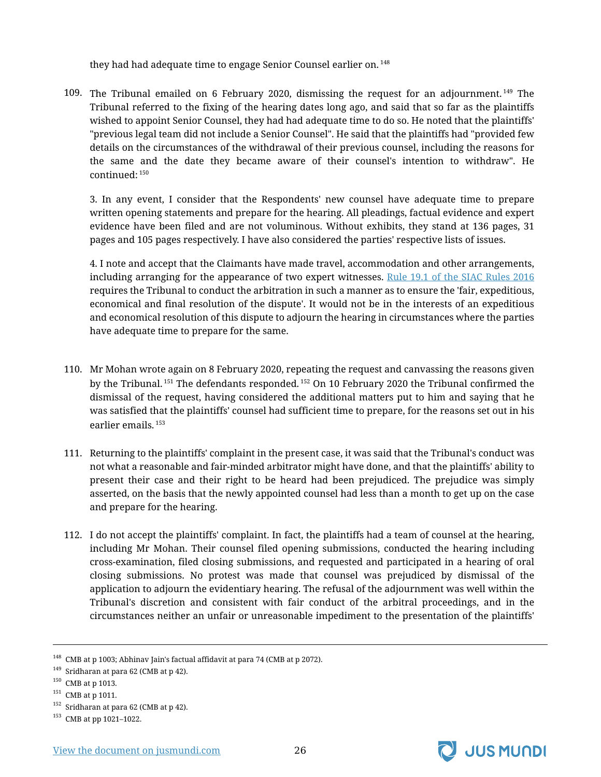they had had adequate time to engage Senior Counsel earlier on.<sup>148</sup>

109. The Tribunal emailed on 6 February 2020, dismissing the request for an adjournment. <sup>149</sup> The Tribunal referred to the fixing of the hearing dates long ago, and said that so far as the plaintiffs wished to appoint Senior Counsel, they had had adequate time to do so. He noted that the plaintiffs' "previous legal team did not include a Senior Counsel". He said that the plaintiffs had "provided few details on the circumstances of the withdrawal of their previous counsel, including the reasons for the same and the date they became aware of their counsel's intention to withdraw". He continued: <sup>150</sup>

3. In any event, I consider that the Respondents' new counsel have adequate time to prepare written opening statements and prepare for the hearing. All pleadings, factual evidence and expert evidence have been filed and are not voluminous. Without exhibits, they stand at 136 pages, 31 pages and 105 pages respectively. I have also considered the parties' respective lists of issues.

4. I note and accept that the Claimants have made travel, accommodation and other arrangements, including arranging for the appearance of two expert witnesses. [Rule 19.1 of the SIAC Rules 2016](https://jusmundi.com/en/document/h/ZFRNVzFSVzZIdnZDNXVPRXBPMTF6a2dQeFVKS081TXB5ODZPRWlDVGFkQnZHRmxLOEhreUgwMkhwc0pBN2FLZTlGN1UrY25BMUlZK3hYNDMxdWZ2a2FuRzlWVEg2NmRZdmoyTm5CcUxSZkk9) requires the Tribunal to conduct the arbitration in such a manner as to ensure the 'fair, expeditious, economical and final resolution of the dispute'. It would not be in the interests of an expeditious and economical resolution of this dispute to adjourn the hearing in circumstances where the parties have adequate time to prepare for the same.

- 110. Mr Mohan wrote again on 8 February 2020, repeating the request and canvassing the reasons given by the Tribunal. <sup>151</sup> The defendants responded. <sup>152</sup> On 10 February 2020 the Tribunal confirmed the dismissal of the request, having considered the additional matters put to him and saying that he was satisfied that the plaintiffs' counsel had sufficient time to prepare, for the reasons set out in his earlier emails. <sup>153</sup>
- 111. Returning to the plaintiffs' complaint in the present case, it was said that the Tribunal's conduct was not what a reasonable and fair-minded arbitrator might have done, and that the plaintiffs' ability to present their case and their right to be heard had been prejudiced. The prejudice was simply asserted, on the basis that the newly appointed counsel had less than a month to get up on the case and prepare for the hearing.
- 112. I do not accept the plaintiffs' complaint. In fact, the plaintiffs had a team of counsel at the hearing, including Mr Mohan. Their counsel filed opening submissions, conducted the hearing including cross-examination, filed closing submissions, and requested and participated in a hearing of oral closing submissions. No protest was made that counsel was prejudiced by dismissal of the application to adjourn the evidentiary hearing. The refusal of the adjournment was well within the Tribunal's discretion and consistent with fair conduct of the arbitral proceedings, and in the circumstances neither an unfair or unreasonable impediment to the presentation of the plaintiffs'



<sup>&</sup>lt;sup>148</sup> CMB at p 1003; Abhinav Jain's factual affidavit at para 74 (CMB at p 2072).

 $149$  Sridharan at para 62 (CMB at p 42).

<sup>150</sup> CMB at p 1013.

 $151$  CMB at p 1011.

 $152$  Sridharan at para 62 (CMB at p 42).

<sup>153</sup> CMB at pp 1021–1022.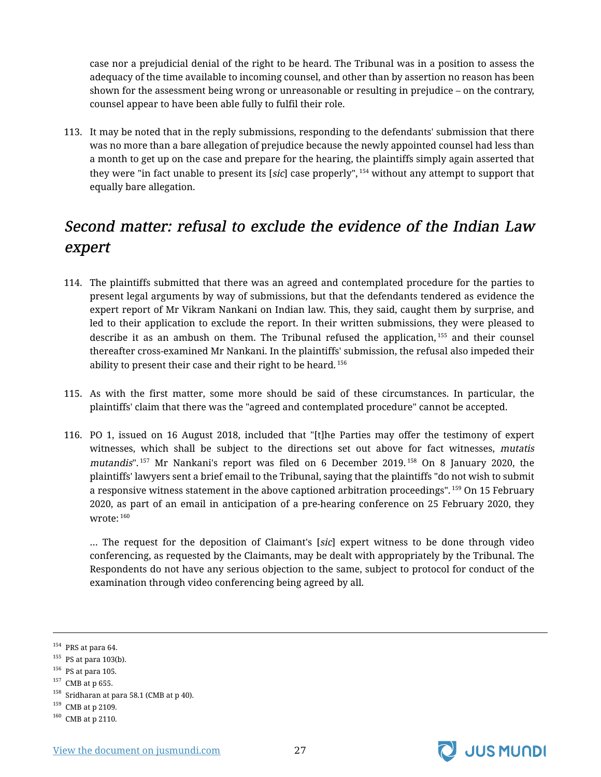case nor a prejudicial denial of the right to be heard. The Tribunal was in a position to assess the adequacy of the time available to incoming counsel, and other than by assertion no reason has been shown for the assessment being wrong or unreasonable or resulting in prejudice – on the contrary, counsel appear to have been able fully to fulfil their role.

113. It may be noted that in the reply submissions, responding to the defendants' submission that there was no more than a bare allegation of prejudice because the newly appointed counsel had less than a month to get up on the case and prepare for the hearing, the plaintiffs simply again asserted that they were "in fact unable to present its [sic] case properly", <sup>154</sup> without any attempt to support that equally bare allegation.

# <span id="page-28-0"></span>Second matter: refusal to exclude the evidence of the Indian Law expert

- 114. The plaintiffs submitted that there was an agreed and contemplated procedure for the parties to present legal arguments by way of submissions, but that the defendants tendered as evidence the expert report of Mr Vikram Nankani on Indian law. This, they said, caught them by surprise, and led to their application to exclude the report. In their written submissions, they were pleased to describe it as an ambush on them. The Tribunal refused the application, 155 and their counsel thereafter cross-examined Mr Nankani. In the plaintiffs' submission, the refusal also impeded their ability to present their case and their right to be heard. <sup>156</sup>
- 115. As with the first matter, some more should be said of these circumstances. In particular, the plaintiffs' claim that there was the "agreed and contemplated procedure" cannot be accepted.
- 116. PO 1, issued on 16 August 2018, included that "[t]he Parties may offer the testimony of expert witnesses, which shall be subject to the directions set out above for fact witnesses, mutatis mutandis".<sup>157</sup> Mr Nankani's report was filed on 6 December 2019.<sup>158</sup> On 8 January 2020, the plaintiffs' lawyers sent a brief email to the Tribunal, saying that the plaintiffs "do not wish to submit a responsive witness statement in the above captioned arbitration proceedings". <sup>159</sup> On 15 February 2020, as part of an email in anticipation of a pre-hearing conference on 25 February 2020, they wrote: <sup>160</sup>

… The request for the deposition of Claimant's [sic] expert witness to be done through video conferencing, as requested by the Claimants, may be dealt with appropriately by the Tribunal. The Respondents do not have any serious objection to the same, subject to protocol for conduct of the examination through video conferencing being agreed by all.



 $154$  PRS at para 64.

 $155$  PS at para 103(b).

<sup>156</sup> PS at para 105.

<sup>157</sup> CMB at p 655.

 $^{158}\,$  Sridharan at para 58.1 (CMB at p 40).

<sup>159</sup> CMB at p 2109.

 $^{160}\,$  CMB at p 2110.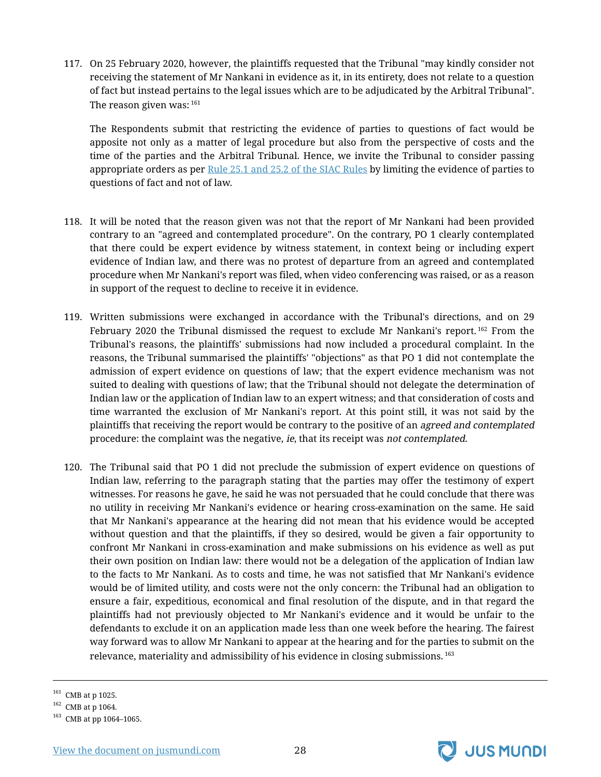117. On 25 February 2020, however, the plaintiffs requested that the Tribunal "may kindly consider not receiving the statement of Mr Nankani in evidence as it, in its entirety, does not relate to a question of fact but instead pertains to the legal issues which are to be adjudicated by the Arbitral Tribunal". The reason given was: 161

The Respondents submit that restricting the evidence of parties to questions of fact would be apposite not only as a matter of legal procedure but also from the perspective of costs and the time of the parties and the Arbitral Tribunal. Hence, we invite the Tribunal to consider passing appropriate orders as per [Rule 25.1 and 25.2 of the SIAC Rules](https://jusmundi.com/en/document/h/ZFRNVzFSVzZIdnZDNXVPRXBPMTF6a2dQeFVKS081TXB5ODZPRWlDVGFkQnZHRmxLOEhreUgwMkhwc0pBN2FLZTlGN1UrY25BMUlZK3hYNDMxdWZ2a1VNVDJnZDdERm9NNDdMWHpmMlp2SWs9) by limiting the evidence of parties to questions of fact and not of law.

- 118. It will be noted that the reason given was not that the report of Mr Nankani had been provided contrary to an "agreed and contemplated procedure". On the contrary, PO 1 clearly contemplated that there could be expert evidence by witness statement, in context being or including expert evidence of Indian law, and there was no protest of departure from an agreed and contemplated procedure when Mr Nankani's report was filed, when video conferencing was raised, or as a reason in support of the request to decline to receive it in evidence.
- 119. Written submissions were exchanged in accordance with the Tribunal's directions, and on 29 February 2020 the Tribunal dismissed the request to exclude Mr Nankani's report.<sup>162</sup> From the Tribunal's reasons, the plaintiffs' submissions had now included a procedural complaint. In the reasons, the Tribunal summarised the plaintiffs' "objections" as that PO 1 did not contemplate the admission of expert evidence on questions of law; that the expert evidence mechanism was not suited to dealing with questions of law; that the Tribunal should not delegate the determination of Indian law or the application of Indian law to an expert witness; and that consideration of costs and time warranted the exclusion of Mr Nankani's report. At this point still, it was not said by the plaintiffs that receiving the report would be contrary to the positive of an agreed and contemplated procedure: the complaint was the negative, ie, that its receipt was not contemplated.
- 120. The Tribunal said that PO 1 did not preclude the submission of expert evidence on questions of Indian law, referring to the paragraph stating that the parties may offer the testimony of expert witnesses. For reasons he gave, he said he was not persuaded that he could conclude that there was no utility in receiving Mr Nankani's evidence or hearing cross-examination on the same. He said that Mr Nankani's appearance at the hearing did not mean that his evidence would be accepted without question and that the plaintiffs, if they so desired, would be given a fair opportunity to confront Mr Nankani in cross-examination and make submissions on his evidence as well as put their own position on Indian law: there would not be a delegation of the application of Indian law to the facts to Mr Nankani. As to costs and time, he was not satisfied that Mr Nankani's evidence would be of limited utility, and costs were not the only concern: the Tribunal had an obligation to ensure a fair, expeditious, economical and final resolution of the dispute, and in that regard the plaintiffs had not previously objected to Mr Nankani's evidence and it would be unfair to the defendants to exclude it on an application made less than one week before the hearing. The fairest way forward was to allow Mr Nankani to appear at the hearing and for the parties to submit on the relevance, materiality and admissibility of his evidence in closing submissions. <sup>163</sup>



<sup>&</sup>lt;sup>161</sup> CMB at p 1025.

<sup>162</sup> CMB at p 1064.

<sup>163</sup> CMB at pp 1064–1065.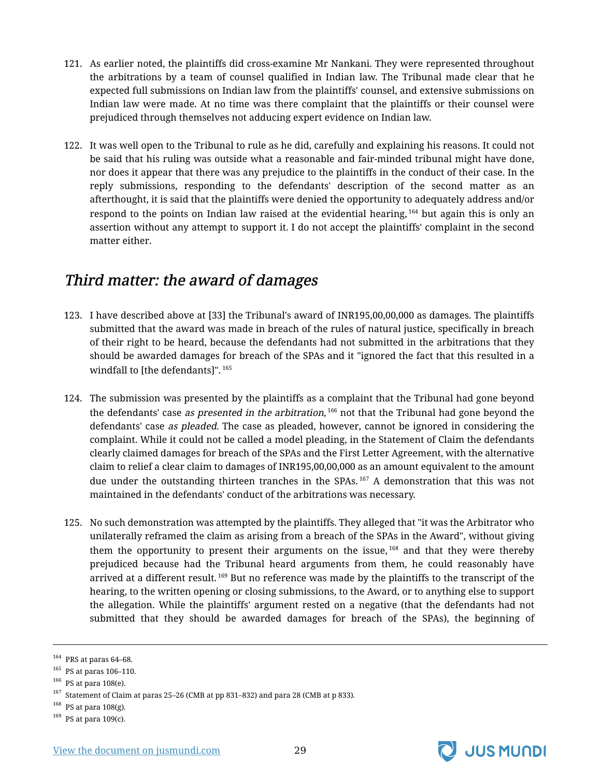- 121. As earlier noted, the plaintiffs did cross-examine Mr Nankani. They were represented throughout the arbitrations by a team of counsel qualified in Indian law. The Tribunal made clear that he expected full submissions on Indian law from the plaintiffs' counsel, and extensive submissions on Indian law were made. At no time was there complaint that the plaintiffs or their counsel were prejudiced through themselves not adducing expert evidence on Indian law.
- 122. It was well open to the Tribunal to rule as he did, carefully and explaining his reasons. It could not be said that his ruling was outside what a reasonable and fair-minded tribunal might have done, nor does it appear that there was any prejudice to the plaintiffs in the conduct of their case. In the reply submissions, responding to the defendants' description of the second matter as an afterthought, it is said that the plaintiffs were denied the opportunity to adequately address and/or respond to the points on Indian law raised at the evidential hearing,  $164$  but again this is only an assertion without any attempt to support it. I do not accept the plaintiffs' complaint in the second matter either.

#### <span id="page-30-0"></span>Third matter: the award of damages

- 123. I have described above at [33] the Tribunal's award of INR195,00,00,000 as damages. The plaintiffs submitted that the award was made in breach of the rules of natural justice, specifically in breach of their right to be heard, because the defendants had not submitted in the arbitrations that they should be awarded damages for breach of the SPAs and it "ignored the fact that this resulted in a windfall to [the defendants]". <sup>165</sup>
- 124. The submission was presented by the plaintiffs as a complaint that the Tribunal had gone beyond the defendants' case *as presented in the arbitration,* <sup>166</sup> not that the Tribunal had gone beyond the defendants' case as pleaded. The case as pleaded, however, cannot be ignored in considering the complaint. While it could not be called a model pleading, in the Statement of Claim the defendants clearly claimed damages for breach of the SPAs and the First Letter Agreement, with the alternative claim to relief a clear claim to damages of INR195,00,00,000 as an amount equivalent to the amount due under the outstanding thirteen tranches in the SPAs.<sup>167</sup> A demonstration that this was not maintained in the defendants' conduct of the arbitrations was necessary.
- 125. No such demonstration was attempted by the plaintiffs. They alleged that "it was the Arbitrator who unilaterally reframed the claim as arising from a breach of the SPAs in the Award", without giving them the opportunity to present their arguments on the issue,  $168$  and that they were thereby prejudiced because had the Tribunal heard arguments from them, he could reasonably have arrived at a different result.<sup>169</sup> But no reference was made by the plaintiffs to the transcript of the hearing, to the written opening or closing submissions, to the Award, or to anything else to support the allegation. While the plaintiffs' argument rested on a negative (that the defendants had not submitted that they should be awarded damages for breach of the SPAs), the beginning of



 $^{164}\,$  PRS at paras 64–68.

<sup>165</sup> PS at paras 106–110.

 $^{166}\,$  PS at para 108(e).

 $^{167}$  Statement of Claim at paras 25–26 (CMB at pp 831–832) and para 28 (CMB at p 833).

 $168$  PS at para 108(g).

 $169$  PS at para 109(c).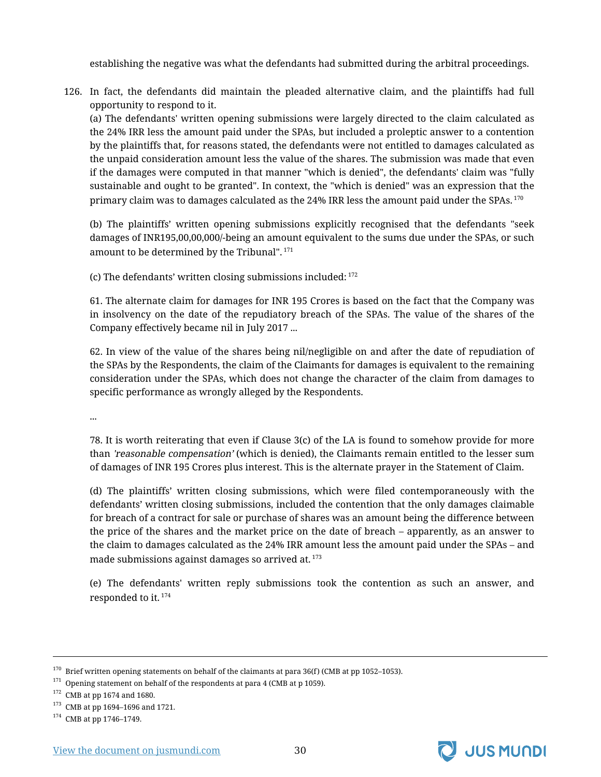establishing the negative was what the defendants had submitted during the arbitral proceedings.

126. In fact, the defendants did maintain the pleaded alternative claim, and the plaintiffs had full opportunity to respond to it.

(a) The defendants' written opening submissions were largely directed to the claim calculated as the 24% IRR less the amount paid under the SPAs, but included a proleptic answer to a contention by the plaintiffs that, for reasons stated, the defendants were not entitled to damages calculated as the unpaid consideration amount less the value of the shares. The submission was made that even if the damages were computed in that manner "which is denied", the defendants' claim was "fully sustainable and ought to be granted". In context, the "which is denied" was an expression that the primary claim was to damages calculated as the 24% IRR less the amount paid under the SPAs. <sup>170</sup>

(b) The plaintiffs' written opening submissions explicitly recognised that the defendants "seek damages of INR195,00,00,000/-being an amount equivalent to the sums due under the SPAs, or such amount to be determined by the Tribunal". <sup>171</sup>

(c) The defendants' written closing submissions included: <sup>172</sup>

61. The alternate claim for damages for INR 195 Crores is based on the fact that the Company was in insolvency on the date of the repudiatory breach of the SPAs. The value of the shares of the Company effectively became nil in July 2017 ...

62. In view of the value of the shares being nil/negligible on and after the date of repudiation of the SPAs by the Respondents, the claim of the Claimants for damages is equivalent to the remaining consideration under the SPAs, which does not change the character of the claim from damages to specific performance as wrongly alleged by the Respondents.

...

78. It is worth reiterating that even if Clause 3(c) of the LA is found to somehow provide for more than 'reasonable compensation' (which is denied), the Claimants remain entitled to the lesser sum of damages of INR 195 Crores plus interest. This is the alternate prayer in the Statement of Claim.

(d) The plaintiffs' written closing submissions, which were filed contemporaneously with the defendants' written closing submissions, included the contention that the only damages claimable for breach of a contract for sale or purchase of shares was an amount being the difference between the price of the shares and the market price on the date of breach – apparently, as an answer to the claim to damages calculated as the 24% IRR amount less the amount paid under the SPAs – and made submissions against damages so arrived at.<sup>173</sup>

(e) The defendants' written reply submissions took the contention as such an answer, and responded to it.<sup>174</sup>



 $170$  Brief written opening statements on behalf of the claimants at para 36(f) (CMB at pp 1052–1053).

 $171$  Opening statement on behalf of the respondents at para 4 (CMB at p 1059).

 $172$  CMB at pp 1674 and 1680.

<sup>173</sup> CMB at pp 1694–1696 and 1721.

<sup>174</sup> CMB at pp 1746–1749.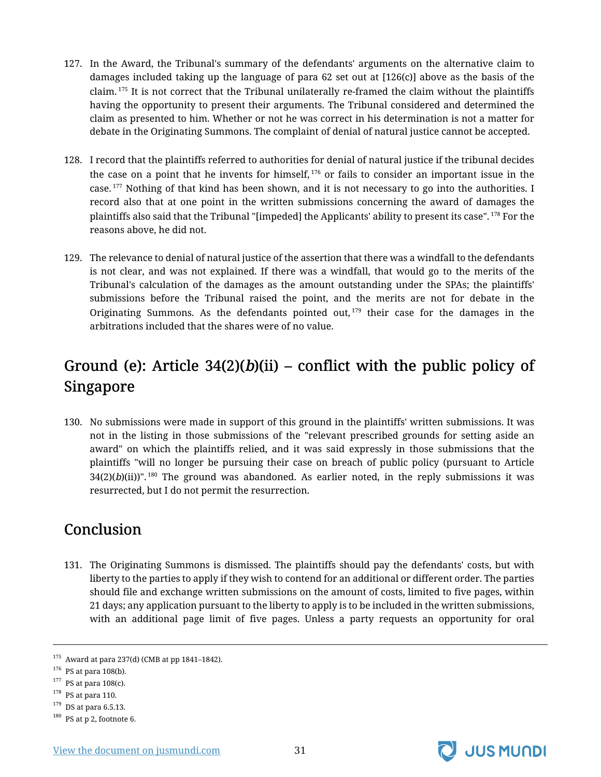- 127. In the Award, the Tribunal's summary of the defendants' arguments on the alternative claim to damages included taking up the language of para 62 set out at [126(c)] above as the basis of the claim. <sup>175</sup> It is not correct that the Tribunal unilaterally re-framed the claim without the plaintiffs having the opportunity to present their arguments. The Tribunal considered and determined the claim as presented to him. Whether or not he was correct in his determination is not a matter for debate in the Originating Summons. The complaint of denial of natural justice cannot be accepted.
- 128. I record that the plaintiffs referred to authorities for denial of natural justice if the tribunal decides the case on a point that he invents for himself,  $176$  or fails to consider an important issue in the case.  $177$  Nothing of that kind has been shown, and it is not necessary to go into the authorities. I record also that at one point in the written submissions concerning the award of damages the plaintiffs also said that the Tribunal "[impeded] the Applicants' ability to present its case". <sup>178</sup> For the reasons above, he did not.
- 129. The relevance to denial of natural justice of the assertion that there was a windfall to the defendants is not clear, and was not explained. If there was a windfall, that would go to the merits of the Tribunal's calculation of the damages as the amount outstanding under the SPAs; the plaintiffs' submissions before the Tribunal raised the point, and the merits are not for debate in the Originating Summons. As the defendants pointed out,  $179$  their case for the damages in the arbitrations included that the shares were of no value.

# <span id="page-32-0"></span>Ground (e): Article  $34(2)(b)(ii)$  – conflict with the public policy of Singapore

130. No submissions were made in support of this ground in the plaintiffs' written submissions. It was not in the listing in those submissions of the "relevant prescribed grounds for setting aside an award" on which the plaintiffs relied, and it was said expressly in those submissions that the plaintiffs "will no longer be pursuing their case on breach of public policy (pursuant to Article  $34(2)(b)(ii))$ ". <sup>180</sup> The ground was abandoned. As earlier noted, in the reply submissions it was resurrected, but I do not permit the resurrection.

# <span id="page-32-1"></span>**Conclusion**

131. The Originating Summons is dismissed. The plaintiffs should pay the defendants' costs, but with liberty to the parties to apply if they wish to contend for an additional or different order. The parties should file and exchange written submissions on the amount of costs, limited to five pages, within 21 days; any application pursuant to the liberty to apply is to be included in the written submissions, with an additional page limit of five pages. Unless a party requests an opportunity for oral

 $179$  DS at para 6.5.13.



<sup>175</sup> Award at para 237(d) (CMB at pp 1841–1842).

 $176$  PS at para 108(b).

 $177$  PS at para 108(c).

 $178$  PS at para 110.

<sup>180</sup> PS at p 2, footnote 6.